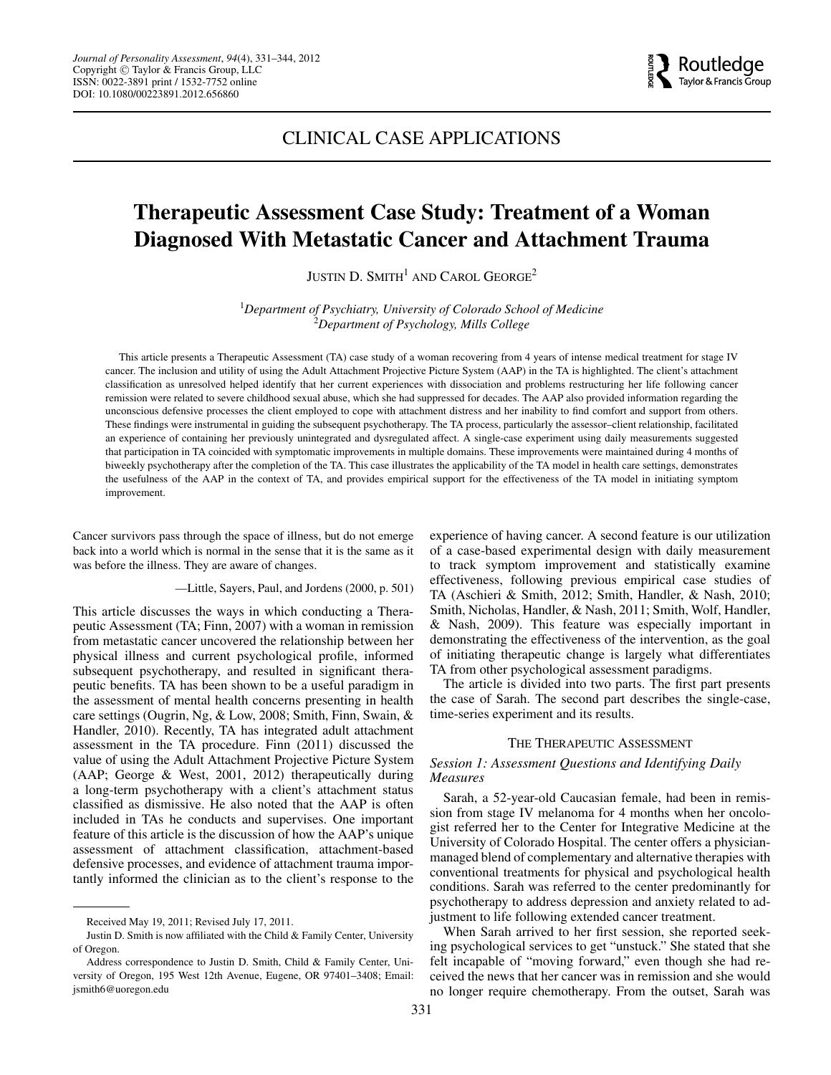

## CLINICAL CASE APPLICATIONS

# **Therapeutic Assessment Case Study: Treatment of a Woman Diagnosed With Metastatic Cancer and Attachment Trauma**

JUSTIN D. SMITH<sup>1</sup> AND CAROL GEORGE<sup>2</sup>

1 *Department of Psychiatry, University of Colorado School of Medicine* 2 *Department of Psychology, Mills College*

This article presents a Therapeutic Assessment (TA) case study of a woman recovering from 4 years of intense medical treatment for stage IV cancer. The inclusion and utility of using the Adult Attachment Projective Picture System (AAP) in the TA is highlighted. The client's attachment classification as unresolved helped identify that her current experiences with dissociation and problems restructuring her life following cancer remission were related to severe childhood sexual abuse, which she had suppressed for decades. The AAP also provided information regarding the unconscious defensive processes the client employed to cope with attachment distress and her inability to find comfort and support from others. These findings were instrumental in guiding the subsequent psychotherapy. The TA process, particularly the assessor–client relationship, facilitated an experience of containing her previously unintegrated and dysregulated affect. A single-case experiment using daily measurements suggested that participation in TA coincided with symptomatic improvements in multiple domains. These improvements were maintained during 4 months of biweekly psychotherapy after the completion of the TA. This case illustrates the applicability of the TA model in health care settings, demonstrates the usefulness of the AAP in the context of TA, and provides empirical support for the effectiveness of the TA model in initiating symptom improvement.

Cancer survivors pass through the space of illness, but do not emerge back into a world which is normal in the sense that it is the same as it was before the illness. They are aware of changes.

—Little, Sayers, Paul, and Jordens (2000, p. 501)

This article discusses the ways in which conducting a Therapeutic Assessment (TA; Finn, 2007) with a woman in remission from metastatic cancer uncovered the relationship between her physical illness and current psychological profile, informed subsequent psychotherapy, and resulted in significant therapeutic benefits. TA has been shown to be a useful paradigm in the assessment of mental health concerns presenting in health care settings (Ougrin, Ng, & Low, 2008; Smith, Finn, Swain, & Handler, 2010). Recently, TA has integrated adult attachment assessment in the TA procedure. Finn (2011) discussed the value of using the Adult Attachment Projective Picture System (AAP; George & West, 2001, 2012) therapeutically during a long-term psychotherapy with a client's attachment status classified as dismissive. He also noted that the AAP is often included in TAs he conducts and supervises. One important feature of this article is the discussion of how the AAP's unique assessment of attachment classification, attachment-based defensive processes, and evidence of attachment trauma importantly informed the clinician as to the client's response to the

331

experience of having cancer. A second feature is our utilization of a case-based experimental design with daily measurement to track symptom improvement and statistically examine effectiveness, following previous empirical case studies of TA (Aschieri & Smith, 2012; Smith, Handler, & Nash, 2010; Smith, Nicholas, Handler, & Nash, 2011; Smith, Wolf, Handler, & Nash, 2009). This feature was especially important in demonstrating the effectiveness of the intervention, as the goal of initiating therapeutic change is largely what differentiates TA from other psychological assessment paradigms.

The article is divided into two parts. The first part presents the case of Sarah. The second part describes the single-case, time-series experiment and its results.

#### THE THERAPEUTIC ASSESSMENT

## *Session 1: Assessment Questions and Identifying Daily Measures*

Sarah, a 52-year-old Caucasian female, had been in remission from stage IV melanoma for 4 months when her oncologist referred her to the Center for Integrative Medicine at the University of Colorado Hospital. The center offers a physicianmanaged blend of complementary and alternative therapies with conventional treatments for physical and psychological health conditions. Sarah was referred to the center predominantly for psychotherapy to address depression and anxiety related to adjustment to life following extended cancer treatment.

When Sarah arrived to her first session, she reported seeking psychological services to get "unstuck." She stated that she felt incapable of "moving forward," even though she had received the news that her cancer was in remission and she would no longer require chemotherapy. From the outset, Sarah was

Received May 19, 2011; Revised July 17, 2011.

Justin D. Smith is now affiliated with the Child & Family Center, University of Oregon.

Address correspondence to Justin D. Smith, Child & Family Center, University of Oregon, 195 West 12th Avenue, Eugene, OR 97401–3408; Email: jsmith6@uoregon.edu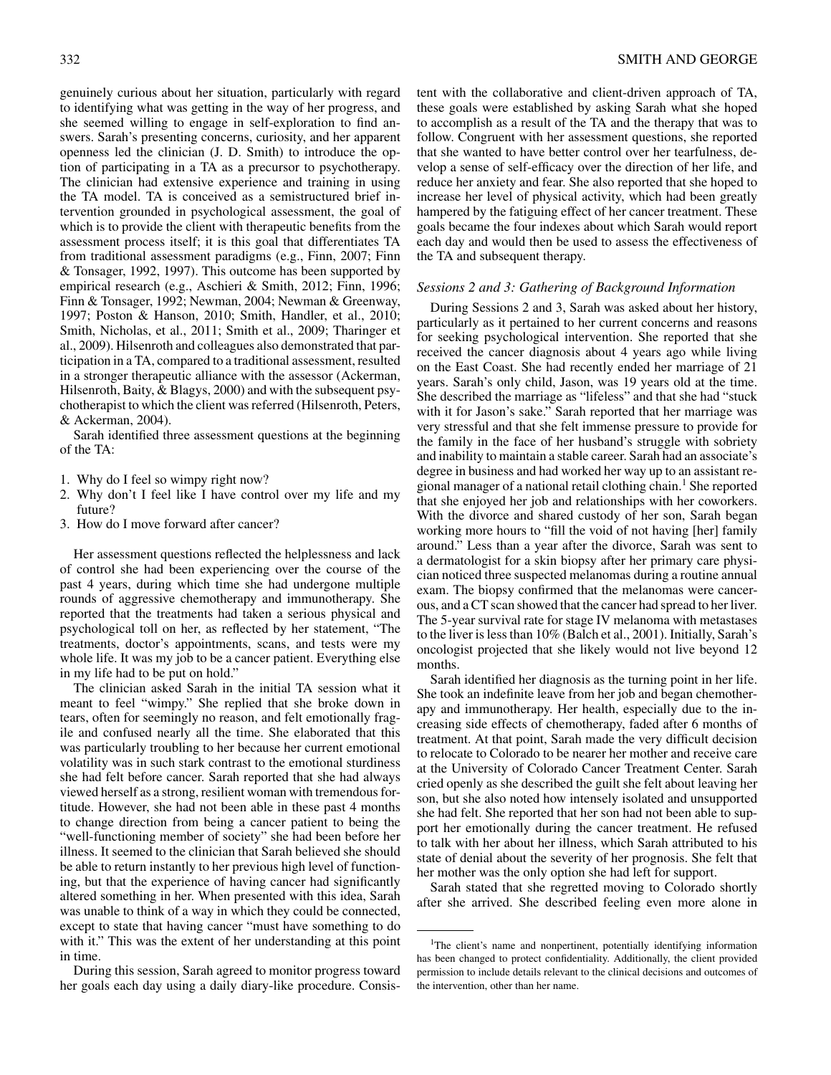genuinely curious about her situation, particularly with regard to identifying what was getting in the way of her progress, and she seemed willing to engage in self-exploration to find answers. Sarah's presenting concerns, curiosity, and her apparent openness led the clinician (J. D. Smith) to introduce the option of participating in a TA as a precursor to psychotherapy. The clinician had extensive experience and training in using the TA model. TA is conceived as a semistructured brief intervention grounded in psychological assessment, the goal of which is to provide the client with therapeutic benefits from the assessment process itself; it is this goal that differentiates TA from traditional assessment paradigms (e.g., Finn, 2007; Finn & Tonsager, 1992, 1997). This outcome has been supported by empirical research (e.g., Aschieri & Smith, 2012; Finn, 1996; Finn & Tonsager, 1992; Newman, 2004; Newman & Greenway, 1997; Poston & Hanson, 2010; Smith, Handler, et al., 2010; Smith, Nicholas, et al., 2011; Smith et al., 2009; Tharinger et al., 2009). Hilsenroth and colleagues also demonstrated that participation in a TA, compared to a traditional assessment, resulted in a stronger therapeutic alliance with the assessor (Ackerman, Hilsenroth, Baity, & Blagys, 2000) and with the subsequent psychotherapist to which the client was referred (Hilsenroth, Peters, & Ackerman, 2004).

Sarah identified three assessment questions at the beginning of the TA:

- 1. Why do I feel so wimpy right now?
- 2. Why don't I feel like I have control over my life and my future?
- 3. How do I move forward after cancer?

Her assessment questions reflected the helplessness and lack of control she had been experiencing over the course of the past 4 years, during which time she had undergone multiple rounds of aggressive chemotherapy and immunotherapy. She reported that the treatments had taken a serious physical and psychological toll on her, as reflected by her statement, "The treatments, doctor's appointments, scans, and tests were my whole life. It was my job to be a cancer patient. Everything else in my life had to be put on hold."

The clinician asked Sarah in the initial TA session what it meant to feel "wimpy." She replied that she broke down in tears, often for seemingly no reason, and felt emotionally fragile and confused nearly all the time. She elaborated that this was particularly troubling to her because her current emotional volatility was in such stark contrast to the emotional sturdiness she had felt before cancer. Sarah reported that she had always viewed herself as a strong, resilient woman with tremendous fortitude. However, she had not been able in these past 4 months to change direction from being a cancer patient to being the "well-functioning member of society" she had been before her illness. It seemed to the clinician that Sarah believed she should be able to return instantly to her previous high level of functioning, but that the experience of having cancer had significantly altered something in her. When presented with this idea, Sarah was unable to think of a way in which they could be connected, except to state that having cancer "must have something to do with it." This was the extent of her understanding at this point in time.

During this session, Sarah agreed to monitor progress toward her goals each day using a daily diary-like procedure. Consistent with the collaborative and client-driven approach of TA, these goals were established by asking Sarah what she hoped to accomplish as a result of the TA and the therapy that was to follow. Congruent with her assessment questions, she reported that she wanted to have better control over her tearfulness, develop a sense of self-efficacy over the direction of her life, and reduce her anxiety and fear. She also reported that she hoped to increase her level of physical activity, which had been greatly hampered by the fatiguing effect of her cancer treatment. These goals became the four indexes about which Sarah would report each day and would then be used to assess the effectiveness of the TA and subsequent therapy.

### *Sessions 2 and 3: Gathering of Background Information*

During Sessions 2 and 3, Sarah was asked about her history, particularly as it pertained to her current concerns and reasons for seeking psychological intervention. She reported that she received the cancer diagnosis about 4 years ago while living on the East Coast. She had recently ended her marriage of 21 years. Sarah's only child, Jason, was 19 years old at the time. She described the marriage as "lifeless" and that she had "stuck with it for Jason's sake." Sarah reported that her marriage was very stressful and that she felt immense pressure to provide for the family in the face of her husband's struggle with sobriety and inability to maintain a stable career. Sarah had an associate's degree in business and had worked her way up to an assistant regional manager of a national retail clothing chain.<sup>1</sup> She reported that she enjoyed her job and relationships with her coworkers. With the divorce and shared custody of her son, Sarah began working more hours to "fill the void of not having [her] family around." Less than a year after the divorce, Sarah was sent to a dermatologist for a skin biopsy after her primary care physician noticed three suspected melanomas during a routine annual exam. The biopsy confirmed that the melanomas were cancerous, and a CT scan showed that the cancer had spread to her liver. The 5-year survival rate for stage IV melanoma with metastases to the liver is less than 10% (Balch et al., 2001). Initially, Sarah's oncologist projected that she likely would not live beyond 12 months.

Sarah identified her diagnosis as the turning point in her life. She took an indefinite leave from her job and began chemotherapy and immunotherapy. Her health, especially due to the increasing side effects of chemotherapy, faded after 6 months of treatment. At that point, Sarah made the very difficult decision to relocate to Colorado to be nearer her mother and receive care at the University of Colorado Cancer Treatment Center. Sarah cried openly as she described the guilt she felt about leaving her son, but she also noted how intensely isolated and unsupported she had felt. She reported that her son had not been able to support her emotionally during the cancer treatment. He refused to talk with her about her illness, which Sarah attributed to his state of denial about the severity of her prognosis. She felt that her mother was the only option she had left for support.

Sarah stated that she regretted moving to Colorado shortly after she arrived. She described feeling even more alone in

<sup>&</sup>lt;sup>1</sup>The client's name and nonpertinent, potentially identifying information has been changed to protect confidentiality. Additionally, the client provided permission to include details relevant to the clinical decisions and outcomes of the intervention, other than her name.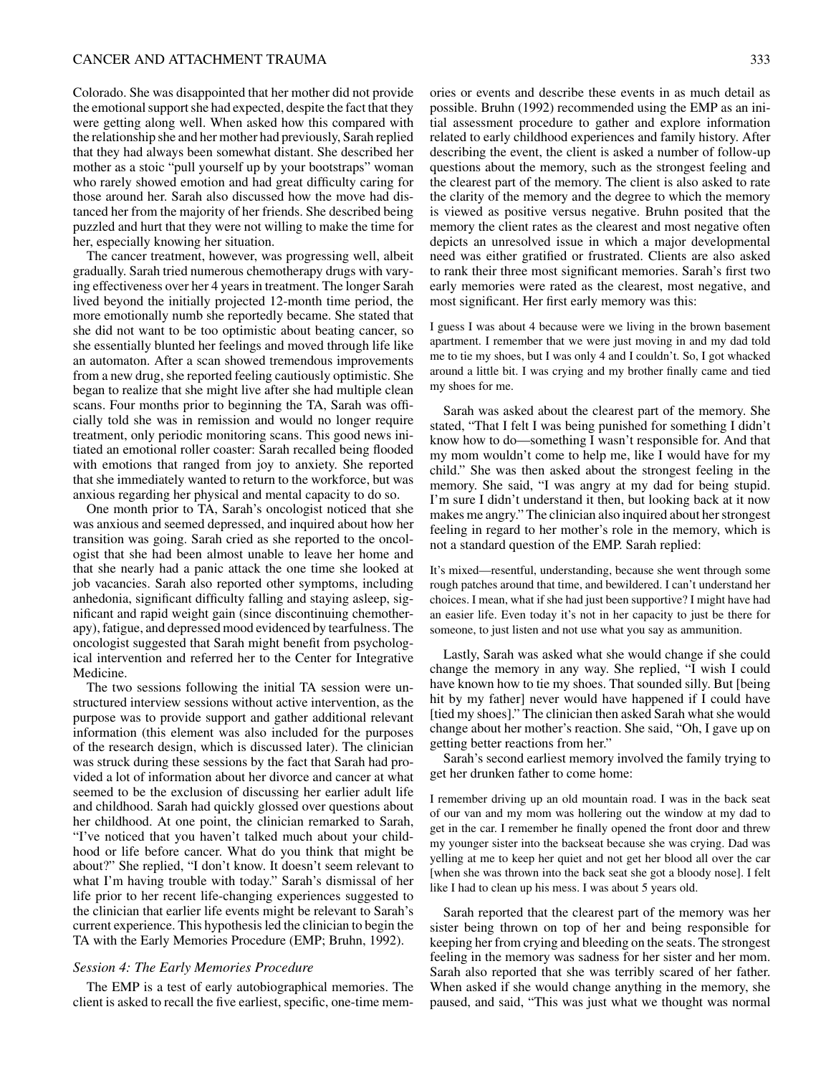## CANCER AND ATTACHMENT TRAUMA 333

Colorado. She was disappointed that her mother did not provide the emotional support she had expected, despite the fact that they were getting along well. When asked how this compared with the relationship she and her mother had previously, Sarah replied that they had always been somewhat distant. She described her mother as a stoic "pull yourself up by your bootstraps" woman who rarely showed emotion and had great difficulty caring for those around her. Sarah also discussed how the move had distanced her from the majority of her friends. She described being puzzled and hurt that they were not willing to make the time for her, especially knowing her situation.

The cancer treatment, however, was progressing well, albeit gradually. Sarah tried numerous chemotherapy drugs with varying effectiveness over her 4 years in treatment. The longer Sarah lived beyond the initially projected 12-month time period, the more emotionally numb she reportedly became. She stated that she did not want to be too optimistic about beating cancer, so she essentially blunted her feelings and moved through life like an automaton. After a scan showed tremendous improvements from a new drug, she reported feeling cautiously optimistic. She began to realize that she might live after she had multiple clean scans. Four months prior to beginning the TA, Sarah was officially told she was in remission and would no longer require treatment, only periodic monitoring scans. This good news initiated an emotional roller coaster: Sarah recalled being flooded with emotions that ranged from joy to anxiety. She reported that she immediately wanted to return to the workforce, but was anxious regarding her physical and mental capacity to do so.

One month prior to TA, Sarah's oncologist noticed that she was anxious and seemed depressed, and inquired about how her transition was going. Sarah cried as she reported to the oncologist that she had been almost unable to leave her home and that she nearly had a panic attack the one time she looked at job vacancies. Sarah also reported other symptoms, including anhedonia, significant difficulty falling and staying asleep, significant and rapid weight gain (since discontinuing chemotherapy), fatigue, and depressed mood evidenced by tearfulness. The oncologist suggested that Sarah might benefit from psychological intervention and referred her to the Center for Integrative Medicine.

The two sessions following the initial TA session were unstructured interview sessions without active intervention, as the purpose was to provide support and gather additional relevant information (this element was also included for the purposes of the research design, which is discussed later). The clinician was struck during these sessions by the fact that Sarah had provided a lot of information about her divorce and cancer at what seemed to be the exclusion of discussing her earlier adult life and childhood. Sarah had quickly glossed over questions about her childhood. At one point, the clinician remarked to Sarah, "I've noticed that you haven't talked much about your childhood or life before cancer. What do you think that might be about?" She replied, "I don't know. It doesn't seem relevant to what I'm having trouble with today." Sarah's dismissal of her life prior to her recent life-changing experiences suggested to the clinician that earlier life events might be relevant to Sarah's current experience. This hypothesis led the clinician to begin the TA with the Early Memories Procedure (EMP; Bruhn, 1992).

## *Session 4: The Early Memories Procedure*

The EMP is a test of early autobiographical memories. The client is asked to recall the five earliest, specific, one-time memories or events and describe these events in as much detail as possible. Bruhn (1992) recommended using the EMP as an initial assessment procedure to gather and explore information related to early childhood experiences and family history. After describing the event, the client is asked a number of follow-up questions about the memory, such as the strongest feeling and the clearest part of the memory. The client is also asked to rate the clarity of the memory and the degree to which the memory is viewed as positive versus negative. Bruhn posited that the memory the client rates as the clearest and most negative often depicts an unresolved issue in which a major developmental need was either gratified or frustrated. Clients are also asked to rank their three most significant memories. Sarah's first two early memories were rated as the clearest, most negative, and most significant. Her first early memory was this:

I guess I was about 4 because were we living in the brown basement apartment. I remember that we were just moving in and my dad told me to tie my shoes, but I was only 4 and I couldn't. So, I got whacked around a little bit. I was crying and my brother finally came and tied my shoes for me.

Sarah was asked about the clearest part of the memory. She stated, "That I felt I was being punished for something I didn't know how to do—something I wasn't responsible for. And that my mom wouldn't come to help me, like I would have for my child." She was then asked about the strongest feeling in the memory. She said, "I was angry at my dad for being stupid. I'm sure I didn't understand it then, but looking back at it now makes me angry." The clinician also inquired about her strongest feeling in regard to her mother's role in the memory, which is not a standard question of the EMP. Sarah replied:

It's mixed—resentful, understanding, because she went through some rough patches around that time, and bewildered. I can't understand her choices. I mean, what if she had just been supportive? I might have had an easier life. Even today it's not in her capacity to just be there for someone, to just listen and not use what you say as ammunition.

Lastly, Sarah was asked what she would change if she could change the memory in any way. She replied, "I wish I could have known how to tie my shoes. That sounded silly. But [being hit by my father] never would have happened if I could have [tied my shoes]." The clinician then asked Sarah what she would change about her mother's reaction. She said, "Oh, I gave up on getting better reactions from her."

Sarah's second earliest memory involved the family trying to get her drunken father to come home:

I remember driving up an old mountain road. I was in the back seat of our van and my mom was hollering out the window at my dad to get in the car. I remember he finally opened the front door and threw my younger sister into the backseat because she was crying. Dad was yelling at me to keep her quiet and not get her blood all over the car [when she was thrown into the back seat she got a bloody nose]. I felt like I had to clean up his mess. I was about 5 years old.

Sarah reported that the clearest part of the memory was her sister being thrown on top of her and being responsible for keeping her from crying and bleeding on the seats. The strongest feeling in the memory was sadness for her sister and her mom. Sarah also reported that she was terribly scared of her father. When asked if she would change anything in the memory, she paused, and said, "This was just what we thought was normal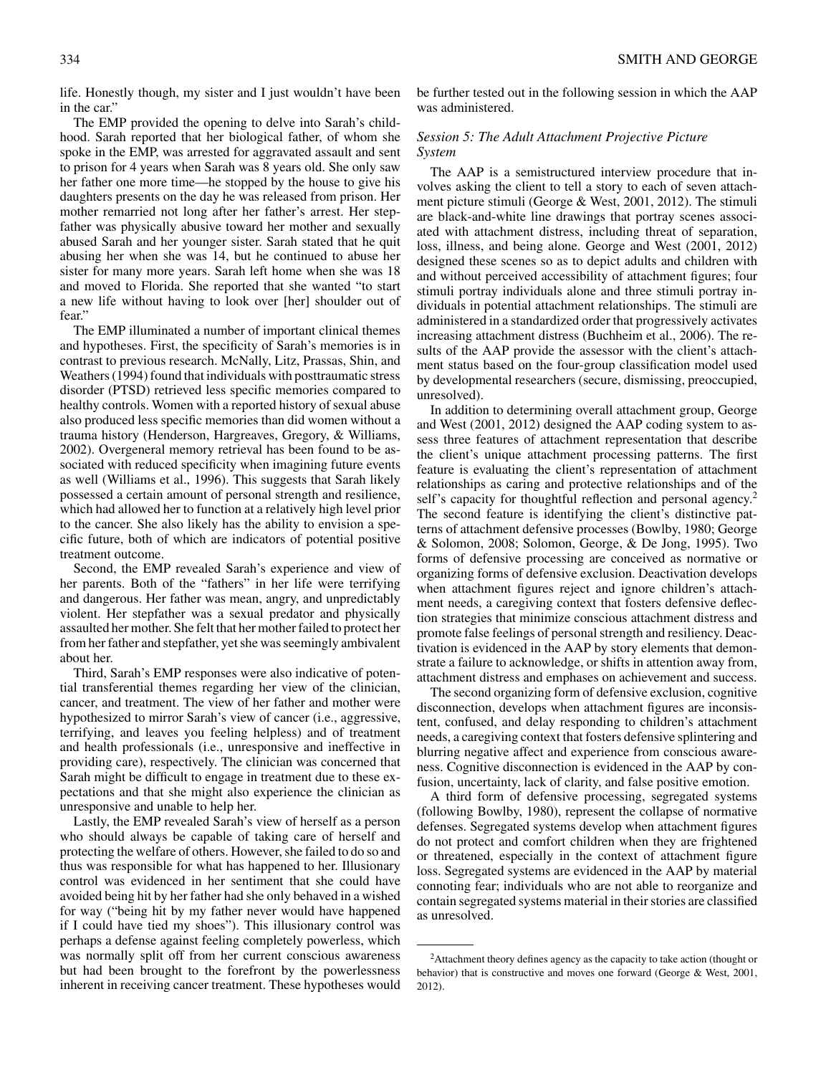life. Honestly though, my sister and I just wouldn't have been in the car."

The EMP provided the opening to delve into Sarah's childhood. Sarah reported that her biological father, of whom she spoke in the EMP, was arrested for aggravated assault and sent to prison for 4 years when Sarah was 8 years old. She only saw her father one more time—he stopped by the house to give his daughters presents on the day he was released from prison. Her mother remarried not long after her father's arrest. Her stepfather was physically abusive toward her mother and sexually abused Sarah and her younger sister. Sarah stated that he quit abusing her when she was 14, but he continued to abuse her sister for many more years. Sarah left home when she was 18 and moved to Florida. She reported that she wanted "to start a new life without having to look over [her] shoulder out of fear."

The EMP illuminated a number of important clinical themes and hypotheses. First, the specificity of Sarah's memories is in contrast to previous research. McNally, Litz, Prassas, Shin, and Weathers (1994) found that individuals with posttraumatic stress disorder (PTSD) retrieved less specific memories compared to healthy controls. Women with a reported history of sexual abuse also produced less specific memories than did women without a trauma history (Henderson, Hargreaves, Gregory, & Williams, 2002). Overgeneral memory retrieval has been found to be associated with reduced specificity when imagining future events as well (Williams et al., 1996). This suggests that Sarah likely possessed a certain amount of personal strength and resilience, which had allowed her to function at a relatively high level prior to the cancer. She also likely has the ability to envision a specific future, both of which are indicators of potential positive treatment outcome.

Second, the EMP revealed Sarah's experience and view of her parents. Both of the "fathers" in her life were terrifying and dangerous. Her father was mean, angry, and unpredictably violent. Her stepfather was a sexual predator and physically assaulted her mother. She felt that her mother failed to protect her from her father and stepfather, yet she was seemingly ambivalent about her.

Third, Sarah's EMP responses were also indicative of potential transferential themes regarding her view of the clinician, cancer, and treatment. The view of her father and mother were hypothesized to mirror Sarah's view of cancer (i.e., aggressive, terrifying, and leaves you feeling helpless) and of treatment and health professionals (i.e., unresponsive and ineffective in providing care), respectively. The clinician was concerned that Sarah might be difficult to engage in treatment due to these expectations and that she might also experience the clinician as unresponsive and unable to help her.

Lastly, the EMP revealed Sarah's view of herself as a person who should always be capable of taking care of herself and protecting the welfare of others. However, she failed to do so and thus was responsible for what has happened to her. Illusionary control was evidenced in her sentiment that she could have avoided being hit by her father had she only behaved in a wished for way ("being hit by my father never would have happened if I could have tied my shoes"). This illusionary control was perhaps a defense against feeling completely powerless, which was normally split off from her current conscious awareness but had been brought to the forefront by the powerlessness inherent in receiving cancer treatment. These hypotheses would be further tested out in the following session in which the AAP was administered.

## *Session 5: The Adult Attachment Projective Picture System*

The AAP is a semistructured interview procedure that involves asking the client to tell a story to each of seven attachment picture stimuli (George & West, 2001, 2012). The stimuli are black-and-white line drawings that portray scenes associated with attachment distress, including threat of separation, loss, illness, and being alone. George and West (2001, 2012) designed these scenes so as to depict adults and children with and without perceived accessibility of attachment figures; four stimuli portray individuals alone and three stimuli portray individuals in potential attachment relationships. The stimuli are administered in a standardized order that progressively activates increasing attachment distress (Buchheim et al., 2006). The results of the AAP provide the assessor with the client's attachment status based on the four-group classification model used by developmental researchers (secure, dismissing, preoccupied, unresolved).

In addition to determining overall attachment group, George and West (2001, 2012) designed the AAP coding system to assess three features of attachment representation that describe the client's unique attachment processing patterns. The first feature is evaluating the client's representation of attachment relationships as caring and protective relationships and of the self's capacity for thoughtful reflection and personal agency.<sup>2</sup> The second feature is identifying the client's distinctive patterns of attachment defensive processes (Bowlby, 1980; George & Solomon, 2008; Solomon, George, & De Jong, 1995). Two forms of defensive processing are conceived as normative or organizing forms of defensive exclusion. Deactivation develops when attachment figures reject and ignore children's attachment needs, a caregiving context that fosters defensive deflection strategies that minimize conscious attachment distress and promote false feelings of personal strength and resiliency. Deactivation is evidenced in the AAP by story elements that demonstrate a failure to acknowledge, or shifts in attention away from, attachment distress and emphases on achievement and success.

The second organizing form of defensive exclusion, cognitive disconnection, develops when attachment figures are inconsistent, confused, and delay responding to children's attachment needs, a caregiving context that fosters defensive splintering and blurring negative affect and experience from conscious awareness. Cognitive disconnection is evidenced in the AAP by confusion, uncertainty, lack of clarity, and false positive emotion.

A third form of defensive processing, segregated systems (following Bowlby, 1980), represent the collapse of normative defenses. Segregated systems develop when attachment figures do not protect and comfort children when they are frightened or threatened, especially in the context of attachment figure loss. Segregated systems are evidenced in the AAP by material connoting fear; individuals who are not able to reorganize and contain segregated systems material in their stories are classified as unresolved.

<sup>&</sup>lt;sup>2</sup>Attachment theory defines agency as the capacity to take action (thought or behavior) that is constructive and moves one forward (George & West, 2001, 2012).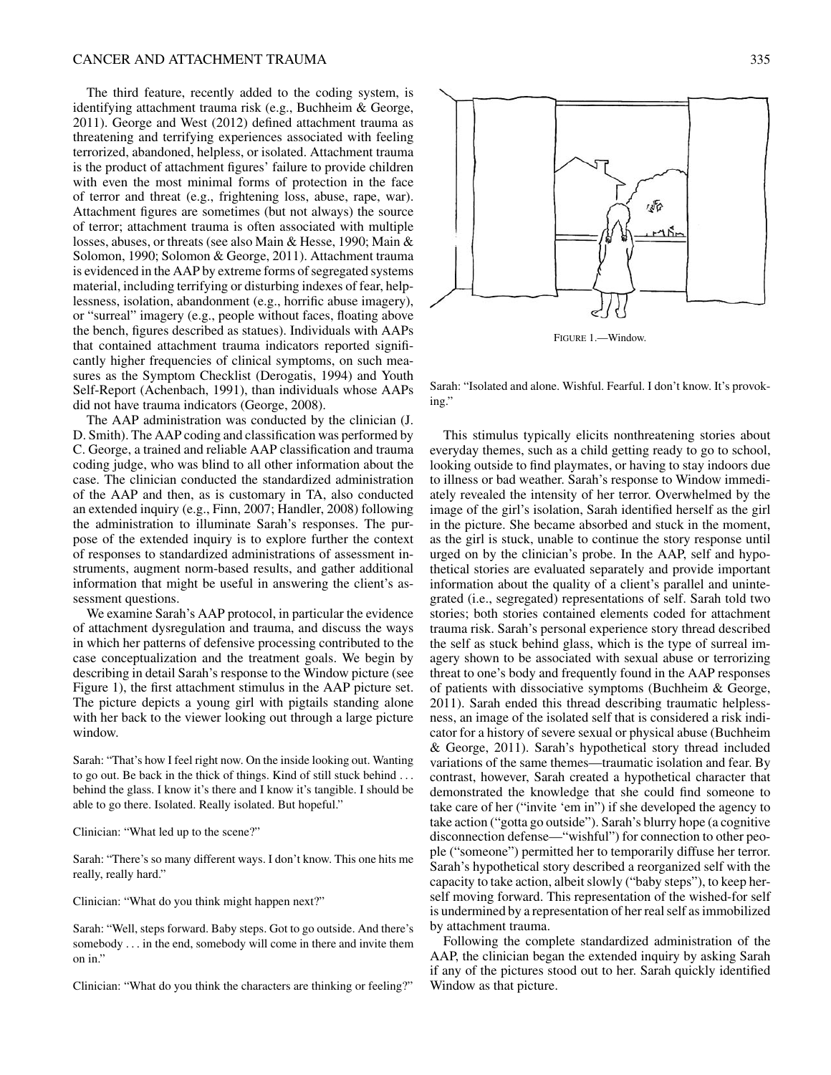## CANCER AND ATTACHMENT TRAUMA 335

The third feature, recently added to the coding system, is identifying attachment trauma risk (e.g., Buchheim & George, 2011). George and West (2012) defined attachment trauma as threatening and terrifying experiences associated with feeling terrorized, abandoned, helpless, or isolated. Attachment trauma is the product of attachment figures' failure to provide children with even the most minimal forms of protection in the face of terror and threat (e.g., frightening loss, abuse, rape, war). Attachment figures are sometimes (but not always) the source of terror; attachment trauma is often associated with multiple losses, abuses, or threats (see also Main & Hesse, 1990; Main & Solomon, 1990; Solomon & George, 2011). Attachment trauma is evidenced in the AAP by extreme forms of segregated systems material, including terrifying or disturbing indexes of fear, helplessness, isolation, abandonment (e.g., horrific abuse imagery), or "surreal" imagery (e.g., people without faces, floating above the bench, figures described as statues). Individuals with AAPs that contained attachment trauma indicators reported significantly higher frequencies of clinical symptoms, on such measures as the Symptom Checklist (Derogatis, 1994) and Youth Self-Report (Achenbach, 1991), than individuals whose AAPs did not have trauma indicators (George, 2008).

The AAP administration was conducted by the clinician (J. D. Smith). The AAP coding and classification was performed by C. George, a trained and reliable AAP classification and trauma coding judge, who was blind to all other information about the case. The clinician conducted the standardized administration of the AAP and then, as is customary in TA, also conducted an extended inquiry (e.g., Finn, 2007; Handler, 2008) following the administration to illuminate Sarah's responses. The purpose of the extended inquiry is to explore further the context of responses to standardized administrations of assessment instruments, augment norm-based results, and gather additional information that might be useful in answering the client's assessment questions.

We examine Sarah's AAP protocol, in particular the evidence of attachment dysregulation and trauma, and discuss the ways in which her patterns of defensive processing contributed to the case conceptualization and the treatment goals. We begin by describing in detail Sarah's response to the Window picture (see Figure 1), the first attachment stimulus in the AAP picture set. The picture depicts a young girl with pigtails standing alone with her back to the viewer looking out through a large picture window.

Sarah: "That's how I feel right now. On the inside looking out. Wanting to go out. Be back in the thick of things. Kind of still stuck behind *...* behind the glass. I know it's there and I know it's tangible. I should be able to go there. Isolated. Really isolated. But hopeful."

Clinician: "What led up to the scene?"

Sarah: "There's so many different ways. I don't know. This one hits me really, really hard."

Clinician: "What do you think might happen next?"

Sarah: "Well, steps forward. Baby steps. Got to go outside. And there's somebody *...* in the end, somebody will come in there and invite them on in."

Clinician: "What do you think the characters are thinking or feeling?"



FIGURE 1.—Window.

Sarah: "Isolated and alone. Wishful. Fearful. I don't know. It's provoking."

This stimulus typically elicits nonthreatening stories about everyday themes, such as a child getting ready to go to school, looking outside to find playmates, or having to stay indoors due to illness or bad weather. Sarah's response to Window immediately revealed the intensity of her terror. Overwhelmed by the image of the girl's isolation, Sarah identified herself as the girl in the picture. She became absorbed and stuck in the moment, as the girl is stuck, unable to continue the story response until urged on by the clinician's probe. In the AAP, self and hypothetical stories are evaluated separately and provide important information about the quality of a client's parallel and unintegrated (i.e., segregated) representations of self. Sarah told two stories; both stories contained elements coded for attachment trauma risk. Sarah's personal experience story thread described the self as stuck behind glass, which is the type of surreal imagery shown to be associated with sexual abuse or terrorizing threat to one's body and frequently found in the AAP responses of patients with dissociative symptoms (Buchheim & George, 2011). Sarah ended this thread describing traumatic helplessness, an image of the isolated self that is considered a risk indicator for a history of severe sexual or physical abuse (Buchheim & George, 2011). Sarah's hypothetical story thread included variations of the same themes—traumatic isolation and fear. By contrast, however, Sarah created a hypothetical character that demonstrated the knowledge that she could find someone to take care of her ("invite 'em in") if she developed the agency to take action ("gotta go outside"). Sarah's blurry hope (a cognitive disconnection defense—"wishful") for connection to other people ("someone") permitted her to temporarily diffuse her terror. Sarah's hypothetical story described a reorganized self with the capacity to take action, albeit slowly ("baby steps"), to keep herself moving forward. This representation of the wished-for self is undermined by a representation of her real self as immobilized by attachment trauma.

Following the complete standardized administration of the AAP, the clinician began the extended inquiry by asking Sarah if any of the pictures stood out to her. Sarah quickly identified Window as that picture.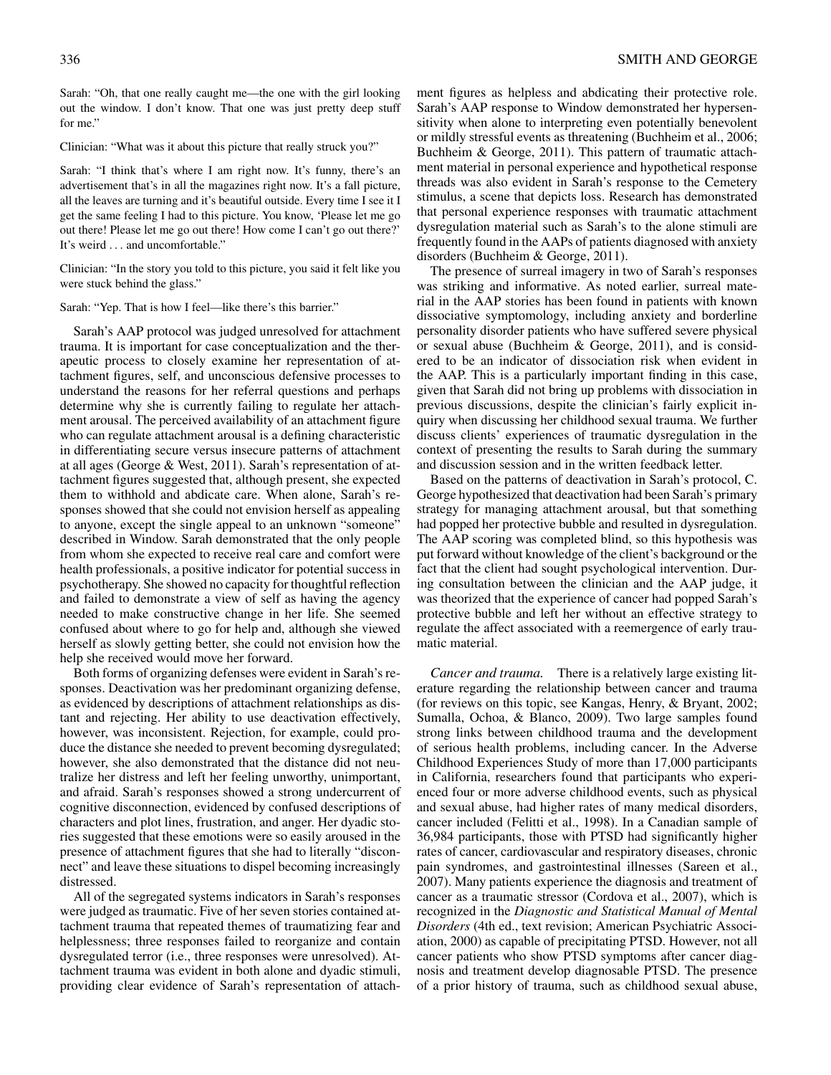for me."

Clinician: "What was it about this picture that really struck you?"

Sarah: "I think that's where I am right now. It's funny, there's an advertisement that's in all the magazines right now. It's a fall picture, all the leaves are turning and it's beautiful outside. Every time I see it I get the same feeling I had to this picture. You know, 'Please let me go out there! Please let me go out there! How come I can't go out there?' It's weird *...* and uncomfortable."

Clinician: "In the story you told to this picture, you said it felt like you were stuck behind the glass."

Sarah: "Yep. That is how I feel—like there's this barrier."

Sarah's AAP protocol was judged unresolved for attachment trauma. It is important for case conceptualization and the therapeutic process to closely examine her representation of attachment figures, self, and unconscious defensive processes to understand the reasons for her referral questions and perhaps determine why she is currently failing to regulate her attachment arousal. The perceived availability of an attachment figure who can regulate attachment arousal is a defining characteristic in differentiating secure versus insecure patterns of attachment at all ages (George & West, 2011). Sarah's representation of attachment figures suggested that, although present, she expected them to withhold and abdicate care. When alone, Sarah's responses showed that she could not envision herself as appealing to anyone, except the single appeal to an unknown "someone" described in Window. Sarah demonstrated that the only people from whom she expected to receive real care and comfort were health professionals, a positive indicator for potential success in psychotherapy. She showed no capacity for thoughtful reflection and failed to demonstrate a view of self as having the agency needed to make constructive change in her life. She seemed confused about where to go for help and, although she viewed herself as slowly getting better, she could not envision how the help she received would move her forward.

Both forms of organizing defenses were evident in Sarah's responses. Deactivation was her predominant organizing defense, as evidenced by descriptions of attachment relationships as distant and rejecting. Her ability to use deactivation effectively, however, was inconsistent. Rejection, for example, could produce the distance she needed to prevent becoming dysregulated; however, she also demonstrated that the distance did not neutralize her distress and left her feeling unworthy, unimportant, and afraid. Sarah's responses showed a strong undercurrent of cognitive disconnection, evidenced by confused descriptions of characters and plot lines, frustration, and anger. Her dyadic stories suggested that these emotions were so easily aroused in the presence of attachment figures that she had to literally "disconnect" and leave these situations to dispel becoming increasingly distressed.

All of the segregated systems indicators in Sarah's responses were judged as traumatic. Five of her seven stories contained attachment trauma that repeated themes of traumatizing fear and helplessness; three responses failed to reorganize and contain dysregulated terror (i.e., three responses were unresolved). Attachment trauma was evident in both alone and dyadic stimuli, providing clear evidence of Sarah's representation of attach-

336 SMITH AND GEORGE

ment figures as helpless and abdicating their protective role. Sarah's AAP response to Window demonstrated her hypersensitivity when alone to interpreting even potentially benevolent or mildly stressful events as threatening (Buchheim et al., 2006; Buchheim & George, 2011). This pattern of traumatic attachment material in personal experience and hypothetical response threads was also evident in Sarah's response to the Cemetery stimulus, a scene that depicts loss. Research has demonstrated that personal experience responses with traumatic attachment dysregulation material such as Sarah's to the alone stimuli are frequently found in the AAPs of patients diagnosed with anxiety disorders (Buchheim & George, 2011).

The presence of surreal imagery in two of Sarah's responses was striking and informative. As noted earlier, surreal material in the AAP stories has been found in patients with known dissociative symptomology, including anxiety and borderline personality disorder patients who have suffered severe physical or sexual abuse (Buchheim & George, 2011), and is considered to be an indicator of dissociation risk when evident in the AAP. This is a particularly important finding in this case, given that Sarah did not bring up problems with dissociation in previous discussions, despite the clinician's fairly explicit inquiry when discussing her childhood sexual trauma. We further discuss clients' experiences of traumatic dysregulation in the context of presenting the results to Sarah during the summary and discussion session and in the written feedback letter.

Based on the patterns of deactivation in Sarah's protocol, C. George hypothesized that deactivation had been Sarah's primary strategy for managing attachment arousal, but that something had popped her protective bubble and resulted in dysregulation. The AAP scoring was completed blind, so this hypothesis was put forward without knowledge of the client's background or the fact that the client had sought psychological intervention. During consultation between the clinician and the AAP judge, it was theorized that the experience of cancer had popped Sarah's protective bubble and left her without an effective strategy to regulate the affect associated with a reemergence of early traumatic material.

*Cancer and trauma.* There is a relatively large existing literature regarding the relationship between cancer and trauma (for reviews on this topic, see Kangas, Henry, & Bryant, 2002; Sumalla, Ochoa, & Blanco, 2009). Two large samples found strong links between childhood trauma and the development of serious health problems, including cancer. In the Adverse Childhood Experiences Study of more than 17,000 participants in California, researchers found that participants who experienced four or more adverse childhood events, such as physical and sexual abuse, had higher rates of many medical disorders, cancer included (Felitti et al., 1998). In a Canadian sample of 36,984 participants, those with PTSD had significantly higher rates of cancer, cardiovascular and respiratory diseases, chronic pain syndromes, and gastrointestinal illnesses (Sareen et al., 2007). Many patients experience the diagnosis and treatment of cancer as a traumatic stressor (Cordova et al., 2007), which is recognized in the *Diagnostic and Statistical Manual of Mental Disorders* (4th ed., text revision; American Psychiatric Association, 2000) as capable of precipitating PTSD. However, not all cancer patients who show PTSD symptoms after cancer diagnosis and treatment develop diagnosable PTSD. The presence of a prior history of trauma, such as childhood sexual abuse,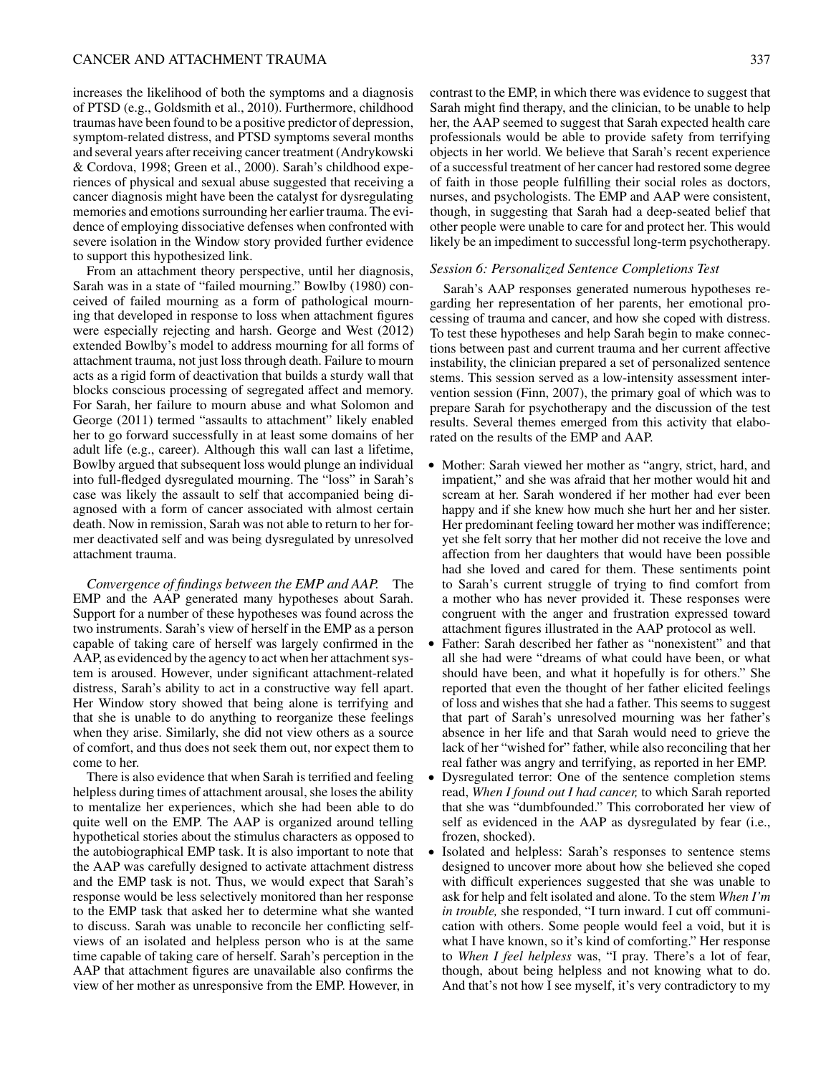increases the likelihood of both the symptoms and a diagnosis of PTSD (e.g., Goldsmith et al., 2010). Furthermore, childhood traumas have been found to be a positive predictor of depression, symptom-related distress, and PTSD symptoms several months and several years after receiving cancer treatment (Andrykowski & Cordova, 1998; Green et al., 2000). Sarah's childhood experiences of physical and sexual abuse suggested that receiving a cancer diagnosis might have been the catalyst for dysregulating memories and emotions surrounding her earlier trauma. The evidence of employing dissociative defenses when confronted with severe isolation in the Window story provided further evidence to support this hypothesized link.

From an attachment theory perspective, until her diagnosis, Sarah was in a state of "failed mourning." Bowlby (1980) conceived of failed mourning as a form of pathological mourning that developed in response to loss when attachment figures were especially rejecting and harsh. George and West (2012) extended Bowlby's model to address mourning for all forms of attachment trauma, not just loss through death. Failure to mourn acts as a rigid form of deactivation that builds a sturdy wall that blocks conscious processing of segregated affect and memory. For Sarah, her failure to mourn abuse and what Solomon and George (2011) termed "assaults to attachment" likely enabled her to go forward successfully in at least some domains of her adult life (e.g., career). Although this wall can last a lifetime, Bowlby argued that subsequent loss would plunge an individual into full-fledged dysregulated mourning. The "loss" in Sarah's case was likely the assault to self that accompanied being diagnosed with a form of cancer associated with almost certain death. Now in remission, Sarah was not able to return to her former deactivated self and was being dysregulated by unresolved attachment trauma.

*Convergence of findings between the EMP and AAP.* The EMP and the AAP generated many hypotheses about Sarah. Support for a number of these hypotheses was found across the two instruments. Sarah's view of herself in the EMP as a person capable of taking care of herself was largely confirmed in the AAP, as evidenced by the agency to act when her attachment system is aroused. However, under significant attachment-related distress, Sarah's ability to act in a constructive way fell apart. Her Window story showed that being alone is terrifying and that she is unable to do anything to reorganize these feelings when they arise. Similarly, she did not view others as a source of comfort, and thus does not seek them out, nor expect them to come to her.

There is also evidence that when Sarah is terrified and feeling helpless during times of attachment arousal, she loses the ability to mentalize her experiences, which she had been able to do quite well on the EMP. The AAP is organized around telling hypothetical stories about the stimulus characters as opposed to the autobiographical EMP task. It is also important to note that the AAP was carefully designed to activate attachment distress and the EMP task is not. Thus, we would expect that Sarah's response would be less selectively monitored than her response to the EMP task that asked her to determine what she wanted to discuss. Sarah was unable to reconcile her conflicting selfviews of an isolated and helpless person who is at the same time capable of taking care of herself. Sarah's perception in the AAP that attachment figures are unavailable also confirms the view of her mother as unresponsive from the EMP. However, in contrast to the EMP, in which there was evidence to suggest that Sarah might find therapy, and the clinician, to be unable to help her, the AAP seemed to suggest that Sarah expected health care professionals would be able to provide safety from terrifying objects in her world. We believe that Sarah's recent experience of a successful treatment of her cancer had restored some degree of faith in those people fulfilling their social roles as doctors, nurses, and psychologists. The EMP and AAP were consistent, though, in suggesting that Sarah had a deep-seated belief that other people were unable to care for and protect her. This would likely be an impediment to successful long-term psychotherapy.

## *Session 6: Personalized Sentence Completions Test*

Sarah's AAP responses generated numerous hypotheses regarding her representation of her parents, her emotional processing of trauma and cancer, and how she coped with distress. To test these hypotheses and help Sarah begin to make connections between past and current trauma and her current affective instability, the clinician prepared a set of personalized sentence stems. This session served as a low-intensity assessment intervention session (Finn, 2007), the primary goal of which was to prepare Sarah for psychotherapy and the discussion of the test results. Several themes emerged from this activity that elaborated on the results of the EMP and AAP.

- Mother: Sarah viewed her mother as "angry, strict, hard, and impatient," and she was afraid that her mother would hit and scream at her. Sarah wondered if her mother had ever been happy and if she knew how much she hurt her and her sister. Her predominant feeling toward her mother was indifference; yet she felt sorry that her mother did not receive the love and affection from her daughters that would have been possible had she loved and cared for them. These sentiments point to Sarah's current struggle of trying to find comfort from a mother who has never provided it. These responses were congruent with the anger and frustration expressed toward attachment figures illustrated in the AAP protocol as well.
- ! Father: Sarah described her father as "nonexistent" and that all she had were "dreams of what could have been, or what should have been, and what it hopefully is for others." She reported that even the thought of her father elicited feelings of loss and wishes that she had a father. This seems to suggest that part of Sarah's unresolved mourning was her father's absence in her life and that Sarah would need to grieve the lack of her "wished for" father, while also reconciling that her real father was angry and terrifying, as reported in her EMP.
- ! Dysregulated terror: One of the sentence completion stems read, *When I found out I had cancer,* to which Sarah reported that she was "dumbfounded." This corroborated her view of self as evidenced in the AAP as dysregulated by fear (i.e., frozen, shocked).
- ! Isolated and helpless: Sarah's responses to sentence stems designed to uncover more about how she believed she coped with difficult experiences suggested that she was unable to ask for help and felt isolated and alone. To the stem *When I'm in trouble,* she responded, "I turn inward. I cut off communication with others. Some people would feel a void, but it is what I have known, so it's kind of comforting." Her response to *When I feel helpless* was, "I pray. There's a lot of fear, though, about being helpless and not knowing what to do. And that's not how I see myself, it's very contradictory to my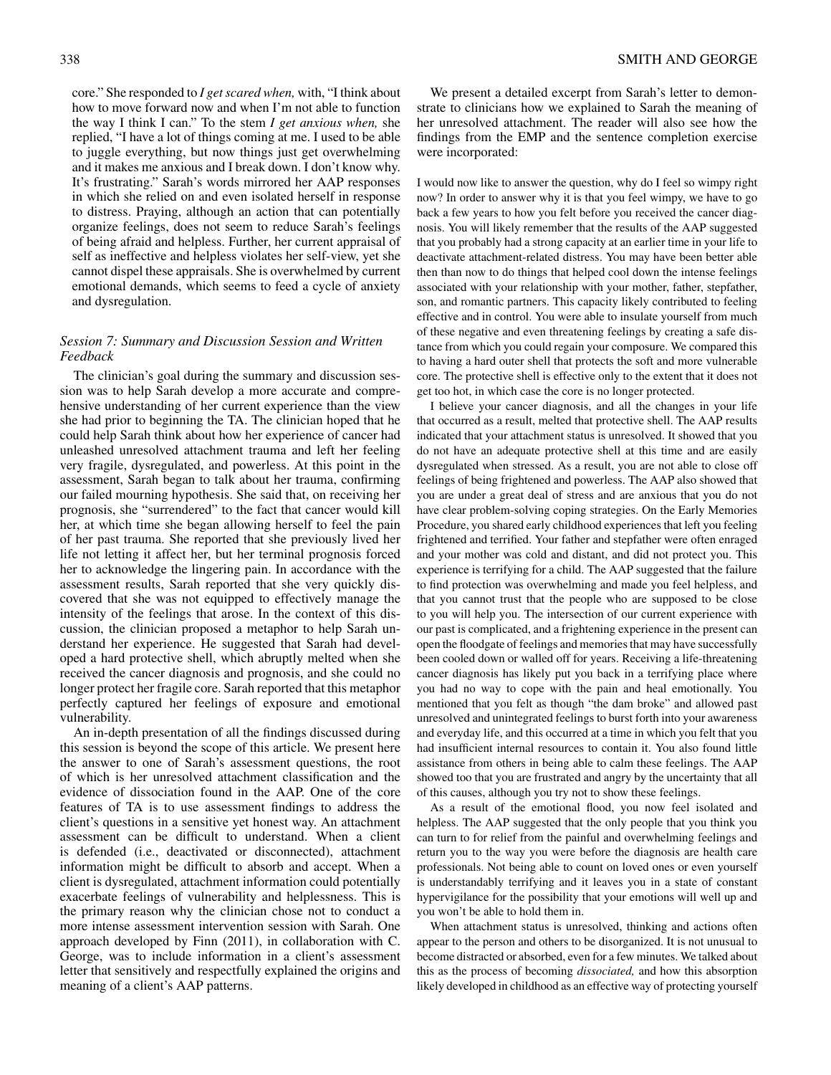core." She responded to *I get scared when,* with, "I think about how to move forward now and when I'm not able to function the way I think I can." To the stem *I get anxious when,* she replied, "I have a lot of things coming at me. I used to be able to juggle everything, but now things just get overwhelming and it makes me anxious and I break down. I don't know why. It's frustrating." Sarah's words mirrored her AAP responses in which she relied on and even isolated herself in response to distress. Praying, although an action that can potentially organize feelings, does not seem to reduce Sarah's feelings of being afraid and helpless. Further, her current appraisal of self as ineffective and helpless violates her self-view, yet she cannot dispel these appraisals. She is overwhelmed by current emotional demands, which seems to feed a cycle of anxiety and dysregulation.

## *Session 7: Summary and Discussion Session and Written Feedback*

The clinician's goal during the summary and discussion session was to help Sarah develop a more accurate and comprehensive understanding of her current experience than the view she had prior to beginning the TA. The clinician hoped that he could help Sarah think about how her experience of cancer had unleashed unresolved attachment trauma and left her feeling very fragile, dysregulated, and powerless. At this point in the assessment, Sarah began to talk about her trauma, confirming our failed mourning hypothesis. She said that, on receiving her prognosis, she "surrendered" to the fact that cancer would kill her, at which time she began allowing herself to feel the pain of her past trauma. She reported that she previously lived her life not letting it affect her, but her terminal prognosis forced her to acknowledge the lingering pain. In accordance with the assessment results, Sarah reported that she very quickly discovered that she was not equipped to effectively manage the intensity of the feelings that arose. In the context of this discussion, the clinician proposed a metaphor to help Sarah understand her experience. He suggested that Sarah had developed a hard protective shell, which abruptly melted when she received the cancer diagnosis and prognosis, and she could no longer protect her fragile core. Sarah reported that this metaphor perfectly captured her feelings of exposure and emotional vulnerability.

An in-depth presentation of all the findings discussed during this session is beyond the scope of this article. We present here the answer to one of Sarah's assessment questions, the root of which is her unresolved attachment classification and the evidence of dissociation found in the AAP. One of the core features of TA is to use assessment findings to address the client's questions in a sensitive yet honest way. An attachment assessment can be difficult to understand. When a client is defended (i.e., deactivated or disconnected), attachment information might be difficult to absorb and accept. When a client is dysregulated, attachment information could potentially exacerbate feelings of vulnerability and helplessness. This is the primary reason why the clinician chose not to conduct a more intense assessment intervention session with Sarah. One approach developed by Finn (2011), in collaboration with C. George, was to include information in a client's assessment letter that sensitively and respectfully explained the origins and meaning of a client's AAP patterns.

We present a detailed excerpt from Sarah's letter to demonstrate to clinicians how we explained to Sarah the meaning of her unresolved attachment. The reader will also see how the findings from the EMP and the sentence completion exercise were incorporated:

I would now like to answer the question, why do I feel so wimpy right now? In order to answer why it is that you feel wimpy, we have to go back a few years to how you felt before you received the cancer diagnosis. You will likely remember that the results of the AAP suggested that you probably had a strong capacity at an earlier time in your life to deactivate attachment-related distress. You may have been better able then than now to do things that helped cool down the intense feelings associated with your relationship with your mother, father, stepfather, son, and romantic partners. This capacity likely contributed to feeling effective and in control. You were able to insulate yourself from much of these negative and even threatening feelings by creating a safe distance from which you could regain your composure. We compared this to having a hard outer shell that protects the soft and more vulnerable core. The protective shell is effective only to the extent that it does not get too hot, in which case the core is no longer protected.

I believe your cancer diagnosis, and all the changes in your life that occurred as a result, melted that protective shell. The AAP results indicated that your attachment status is unresolved. It showed that you do not have an adequate protective shell at this time and are easily dysregulated when stressed. As a result, you are not able to close off feelings of being frightened and powerless. The AAP also showed that you are under a great deal of stress and are anxious that you do not have clear problem-solving coping strategies. On the Early Memories Procedure, you shared early childhood experiences that left you feeling frightened and terrified. Your father and stepfather were often enraged and your mother was cold and distant, and did not protect you. This experience is terrifying for a child. The AAP suggested that the failure to find protection was overwhelming and made you feel helpless, and that you cannot trust that the people who are supposed to be close to you will help you. The intersection of our current experience with our past is complicated, and a frightening experience in the present can open the floodgate of feelings and memories that may have successfully been cooled down or walled off for years. Receiving a life-threatening cancer diagnosis has likely put you back in a terrifying place where you had no way to cope with the pain and heal emotionally. You mentioned that you felt as though "the dam broke" and allowed past unresolved and unintegrated feelings to burst forth into your awareness and everyday life, and this occurred at a time in which you felt that you had insufficient internal resources to contain it. You also found little assistance from others in being able to calm these feelings. The AAP showed too that you are frustrated and angry by the uncertainty that all of this causes, although you try not to show these feelings.

As a result of the emotional flood, you now feel isolated and helpless. The AAP suggested that the only people that you think you can turn to for relief from the painful and overwhelming feelings and return you to the way you were before the diagnosis are health care professionals. Not being able to count on loved ones or even yourself is understandably terrifying and it leaves you in a state of constant hypervigilance for the possibility that your emotions will well up and you won't be able to hold them in.

When attachment status is unresolved, thinking and actions often appear to the person and others to be disorganized. It is not unusual to become distracted or absorbed, even for a few minutes. We talked about this as the process of becoming *dissociated,* and how this absorption likely developed in childhood as an effective way of protecting yourself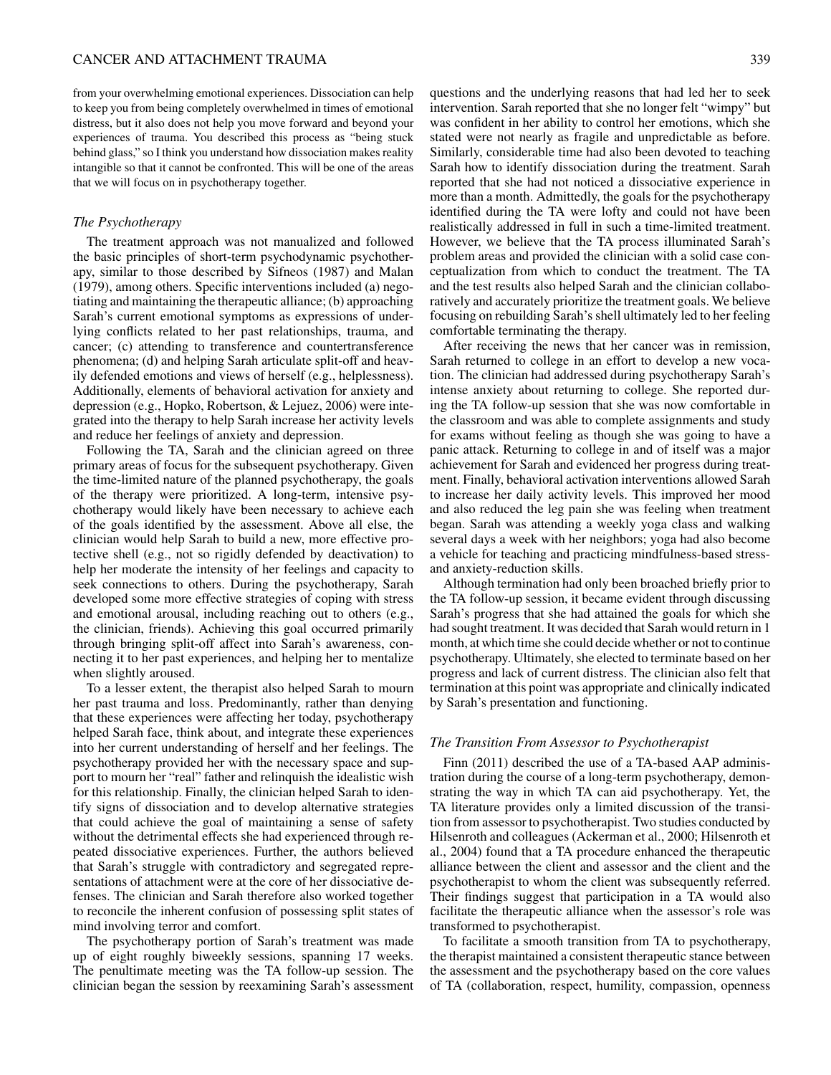from your overwhelming emotional experiences. Dissociation can help to keep you from being completely overwhelmed in times of emotional distress, but it also does not help you move forward and beyond your experiences of trauma. You described this process as "being stuck behind glass," so I think you understand how dissociation makes reality intangible so that it cannot be confronted. This will be one of the areas that we will focus on in psychotherapy together.

## *The Psychotherapy*

The treatment approach was not manualized and followed the basic principles of short-term psychodynamic psychotherapy, similar to those described by Sifneos (1987) and Malan (1979), among others. Specific interventions included (a) negotiating and maintaining the therapeutic alliance; (b) approaching Sarah's current emotional symptoms as expressions of underlying conflicts related to her past relationships, trauma, and cancer; (c) attending to transference and countertransference phenomena; (d) and helping Sarah articulate split-off and heavily defended emotions and views of herself (e.g., helplessness). Additionally, elements of behavioral activation for anxiety and depression (e.g., Hopko, Robertson, & Lejuez, 2006) were integrated into the therapy to help Sarah increase her activity levels and reduce her feelings of anxiety and depression.

Following the TA, Sarah and the clinician agreed on three primary areas of focus for the subsequent psychotherapy. Given the time-limited nature of the planned psychotherapy, the goals of the therapy were prioritized. A long-term, intensive psychotherapy would likely have been necessary to achieve each of the goals identified by the assessment. Above all else, the clinician would help Sarah to build a new, more effective protective shell (e.g., not so rigidly defended by deactivation) to help her moderate the intensity of her feelings and capacity to seek connections to others. During the psychotherapy, Sarah developed some more effective strategies of coping with stress and emotional arousal, including reaching out to others (e.g., the clinician, friends). Achieving this goal occurred primarily through bringing split-off affect into Sarah's awareness, connecting it to her past experiences, and helping her to mentalize when slightly aroused.

To a lesser extent, the therapist also helped Sarah to mourn her past trauma and loss. Predominantly, rather than denying that these experiences were affecting her today, psychotherapy helped Sarah face, think about, and integrate these experiences into her current understanding of herself and her feelings. The psychotherapy provided her with the necessary space and support to mourn her "real" father and relinquish the idealistic wish for this relationship. Finally, the clinician helped Sarah to identify signs of dissociation and to develop alternative strategies that could achieve the goal of maintaining a sense of safety without the detrimental effects she had experienced through repeated dissociative experiences. Further, the authors believed that Sarah's struggle with contradictory and segregated representations of attachment were at the core of her dissociative defenses. The clinician and Sarah therefore also worked together to reconcile the inherent confusion of possessing split states of mind involving terror and comfort.

The psychotherapy portion of Sarah's treatment was made up of eight roughly biweekly sessions, spanning 17 weeks. The penultimate meeting was the TA follow-up session. The clinician began the session by reexamining Sarah's assessment questions and the underlying reasons that had led her to seek intervention. Sarah reported that she no longer felt "wimpy" but was confident in her ability to control her emotions, which she stated were not nearly as fragile and unpredictable as before. Similarly, considerable time had also been devoted to teaching Sarah how to identify dissociation during the treatment. Sarah reported that she had not noticed a dissociative experience in more than a month. Admittedly, the goals for the psychotherapy identified during the TA were lofty and could not have been realistically addressed in full in such a time-limited treatment. However, we believe that the TA process illuminated Sarah's problem areas and provided the clinician with a solid case conceptualization from which to conduct the treatment. The TA and the test results also helped Sarah and the clinician collaboratively and accurately prioritize the treatment goals. We believe focusing on rebuilding Sarah's shell ultimately led to her feeling comfortable terminating the therapy.

After receiving the news that her cancer was in remission, Sarah returned to college in an effort to develop a new vocation. The clinician had addressed during psychotherapy Sarah's intense anxiety about returning to college. She reported during the TA follow-up session that she was now comfortable in the classroom and was able to complete assignments and study for exams without feeling as though she was going to have a panic attack. Returning to college in and of itself was a major achievement for Sarah and evidenced her progress during treatment. Finally, behavioral activation interventions allowed Sarah to increase her daily activity levels. This improved her mood and also reduced the leg pain she was feeling when treatment began. Sarah was attending a weekly yoga class and walking several days a week with her neighbors; yoga had also become a vehicle for teaching and practicing mindfulness-based stressand anxiety-reduction skills.

Although termination had only been broached briefly prior to the TA follow-up session, it became evident through discussing Sarah's progress that she had attained the goals for which she had sought treatment. It was decided that Sarah would return in 1 month, at which time she could decide whether or not to continue psychotherapy. Ultimately, she elected to terminate based on her progress and lack of current distress. The clinician also felt that termination at this point was appropriate and clinically indicated by Sarah's presentation and functioning.

#### *The Transition From Assessor to Psychotherapist*

Finn (2011) described the use of a TA-based AAP administration during the course of a long-term psychotherapy, demonstrating the way in which TA can aid psychotherapy. Yet, the TA literature provides only a limited discussion of the transition from assessor to psychotherapist. Two studies conducted by Hilsenroth and colleagues (Ackerman et al., 2000; Hilsenroth et al., 2004) found that a TA procedure enhanced the therapeutic alliance between the client and assessor and the client and the psychotherapist to whom the client was subsequently referred. Their findings suggest that participation in a TA would also facilitate the therapeutic alliance when the assessor's role was transformed to psychotherapist.

To facilitate a smooth transition from TA to psychotherapy, the therapist maintained a consistent therapeutic stance between the assessment and the psychotherapy based on the core values of TA (collaboration, respect, humility, compassion, openness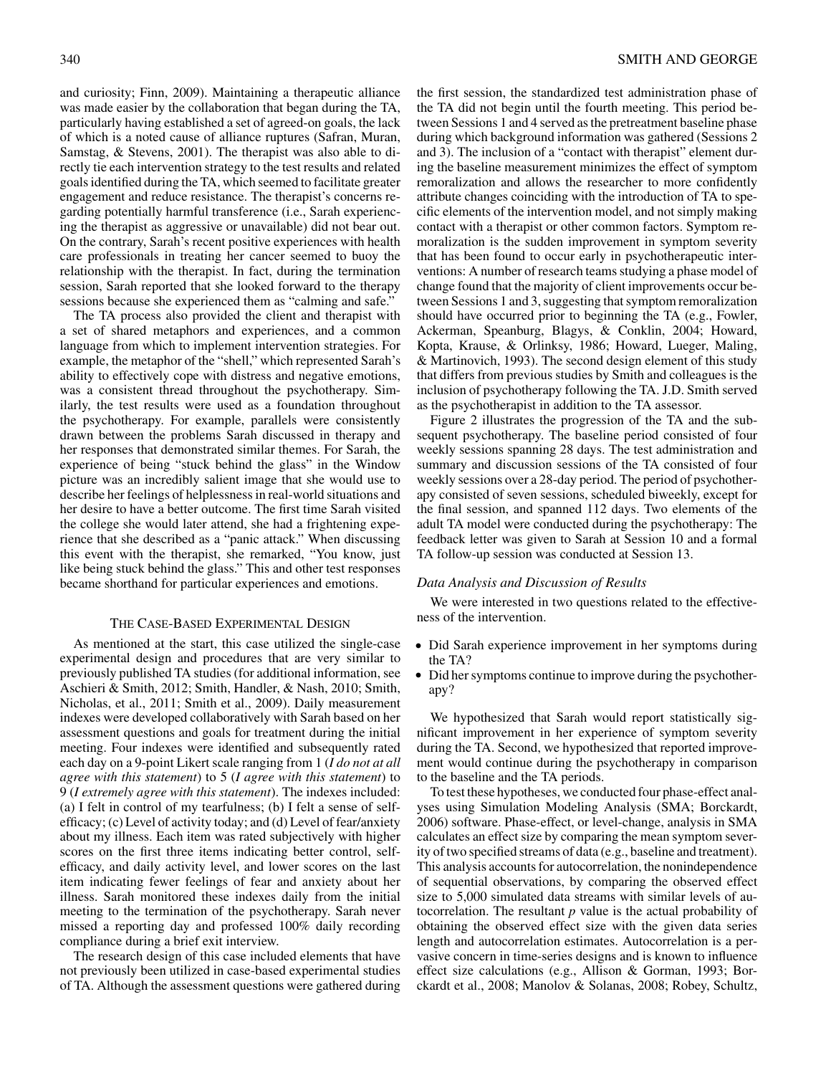and curiosity; Finn, 2009). Maintaining a therapeutic alliance was made easier by the collaboration that began during the TA, particularly having established a set of agreed-on goals, the lack of which is a noted cause of alliance ruptures (Safran, Muran, Samstag, & Stevens, 2001). The therapist was also able to directly tie each intervention strategy to the test results and related goals identified during the TA, which seemed to facilitate greater engagement and reduce resistance. The therapist's concerns regarding potentially harmful transference (i.e., Sarah experiencing the therapist as aggressive or unavailable) did not bear out. On the contrary, Sarah's recent positive experiences with health care professionals in treating her cancer seemed to buoy the relationship with the therapist. In fact, during the termination session, Sarah reported that she looked forward to the therapy sessions because she experienced them as "calming and safe."

The TA process also provided the client and therapist with a set of shared metaphors and experiences, and a common language from which to implement intervention strategies. For example, the metaphor of the "shell," which represented Sarah's ability to effectively cope with distress and negative emotions, was a consistent thread throughout the psychotherapy. Similarly, the test results were used as a foundation throughout the psychotherapy. For example, parallels were consistently drawn between the problems Sarah discussed in therapy and her responses that demonstrated similar themes. For Sarah, the experience of being "stuck behind the glass" in the Window picture was an incredibly salient image that she would use to describe her feelings of helplessness in real-world situations and her desire to have a better outcome. The first time Sarah visited the college she would later attend, she had a frightening experience that she described as a "panic attack." When discussing this event with the therapist, she remarked, "You know, just like being stuck behind the glass." This and other test responses became shorthand for particular experiences and emotions.

#### THE CASE-BASED EXPERIMENTAL DESIGN

As mentioned at the start, this case utilized the single-case experimental design and procedures that are very similar to previously published TA studies (for additional information, see Aschieri & Smith, 2012; Smith, Handler, & Nash, 2010; Smith, Nicholas, et al., 2011; Smith et al., 2009). Daily measurement indexes were developed collaboratively with Sarah based on her assessment questions and goals for treatment during the initial meeting. Four indexes were identified and subsequently rated each day on a 9-point Likert scale ranging from 1 (*I do not at all agree with this statement*) to 5 (*I agree with this statement*) to 9 (*I extremely agree with this statement*). The indexes included: (a) I felt in control of my tearfulness; (b) I felt a sense of selfefficacy; (c) Level of activity today; and (d) Level of fear/anxiety about my illness. Each item was rated subjectively with higher scores on the first three items indicating better control, selfefficacy, and daily activity level, and lower scores on the last item indicating fewer feelings of fear and anxiety about her illness. Sarah monitored these indexes daily from the initial meeting to the termination of the psychotherapy. Sarah never missed a reporting day and professed 100% daily recording compliance during a brief exit interview.

The research design of this case included elements that have not previously been utilized in case-based experimental studies of TA. Although the assessment questions were gathered during the first session, the standardized test administration phase of the TA did not begin until the fourth meeting. This period between Sessions 1 and 4 served as the pretreatment baseline phase during which background information was gathered (Sessions 2 and 3). The inclusion of a "contact with therapist" element during the baseline measurement minimizes the effect of symptom remoralization and allows the researcher to more confidently attribute changes coinciding with the introduction of TA to specific elements of the intervention model, and not simply making contact with a therapist or other common factors. Symptom remoralization is the sudden improvement in symptom severity that has been found to occur early in psychotherapeutic interventions: A number of research teams studying a phase model of change found that the majority of client improvements occur between Sessions 1 and 3, suggesting that symptom remoralization should have occurred prior to beginning the TA (e.g., Fowler, Ackerman, Speanburg, Blagys, & Conklin, 2004; Howard, Kopta, Krause, & Orlinksy, 1986; Howard, Lueger, Maling, & Martinovich, 1993). The second design element of this study that differs from previous studies by Smith and colleagues is the inclusion of psychotherapy following the TA. J.D. Smith served as the psychotherapist in addition to the TA assessor.

Figure 2 illustrates the progression of the TA and the subsequent psychotherapy. The baseline period consisted of four weekly sessions spanning 28 days. The test administration and summary and discussion sessions of the TA consisted of four weekly sessions over a 28-day period. The period of psychotherapy consisted of seven sessions, scheduled biweekly, except for the final session, and spanned 112 days. Two elements of the adult TA model were conducted during the psychotherapy: The feedback letter was given to Sarah at Session 10 and a formal TA follow-up session was conducted at Session 13.

#### *Data Analysis and Discussion of Results*

We were interested in two questions related to the effectiveness of the intervention.

- Did Sarah experience improvement in her symptoms during the TA?
- Did her symptoms continue to improve during the psychotherapy?

We hypothesized that Sarah would report statistically significant improvement in her experience of symptom severity during the TA. Second, we hypothesized that reported improvement would continue during the psychotherapy in comparison to the baseline and the TA periods.

To test these hypotheses, we conducted four phase-effect analyses using Simulation Modeling Analysis (SMA; Borckardt, 2006) software. Phase-effect, or level-change, analysis in SMA calculates an effect size by comparing the mean symptom severity of two specified streams of data (e.g., baseline and treatment). This analysis accounts for autocorrelation, the nonindependence of sequential observations, by comparing the observed effect size to 5,000 simulated data streams with similar levels of autocorrelation. The resultant *p* value is the actual probability of obtaining the observed effect size with the given data series length and autocorrelation estimates. Autocorrelation is a pervasive concern in time-series designs and is known to influence effect size calculations (e.g., Allison & Gorman, 1993; Borckardt et al., 2008; Manolov & Solanas, 2008; Robey, Schultz,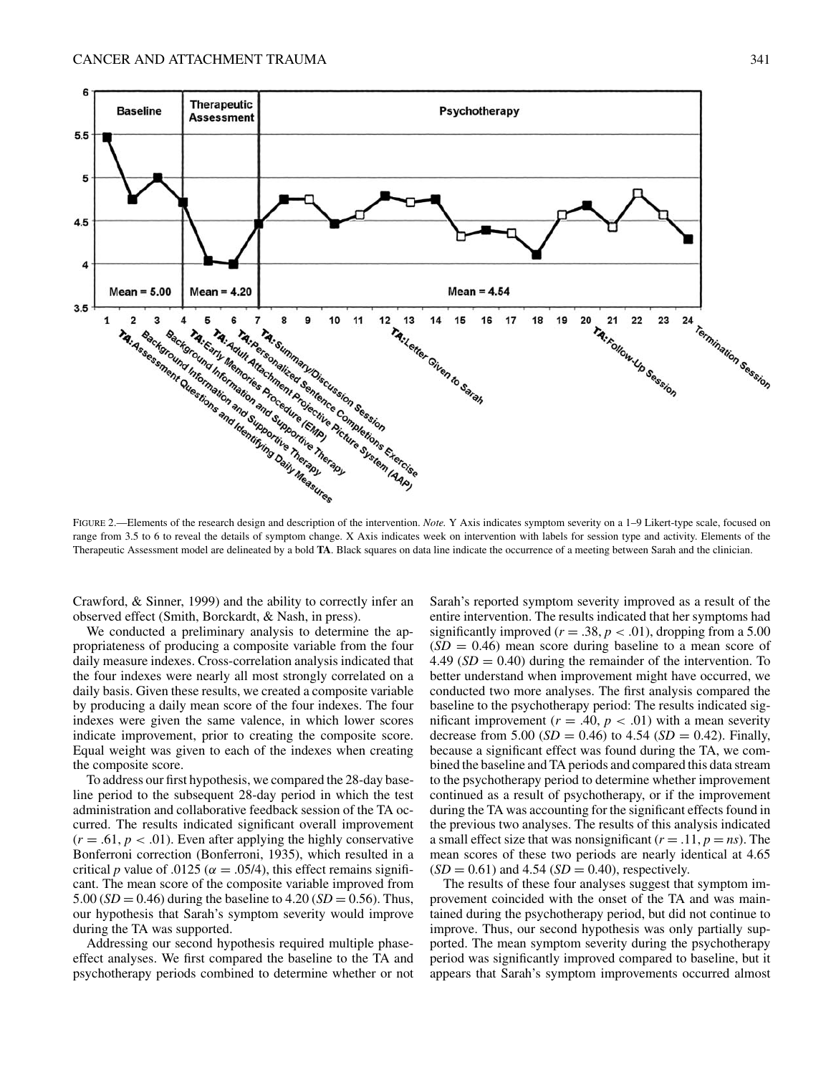

range from 3.5 to 6 to reveal the details of symptom change. X Axis indicates week on intervention with labels for session type and activity. Elements of the Therapeutic Assessment model are delineated by a bold **TA**. Black squares on data line indicate the occurrence of a meeting between Sarah and the clinician.

Crawford, & Sinner, 1999) and the ability to correctly infer an observed effect (Smith, Borckardt, & Nash, in press).

We conducted a preliminary analysis to determine the appropriateness of producing a composite variable from the four daily measure indexes. Cross-correlation analysis indicated that the four indexes were nearly all most strongly correlated on a daily basis. Given these results, we created a composite variable by producing a daily mean score of the four indexes. The four indexes were given the same valence, in which lower scores indicate improvement, prior to creating the composite score. Equal weight was given to each of the indexes when creating the composite score.

To address our first hypothesis, we compared the 28-day baseline period to the subsequent 28-day period in which the test administration and collaborative feedback session of the TA occurred. The results indicated significant overall improvement  $(r = .61, p < .01)$ . Even after applying the highly conservative Bonferroni correction (Bonferroni, 1935), which resulted in a critical *p* value of .0125 ( $\alpha = .05/4$ ), this effect remains significant. The mean score of the composite variable improved from 5.00 (*SD* = 0.46) during the baseline to 4.20 (*SD* = 0.56). Thus, our hypothesis that Sarah's symptom severity would improve during the TA was supported.

Addressing our second hypothesis required multiple phaseeffect analyses. We first compared the baseline to the TA and psychotherapy periods combined to determine whether or not Sarah's reported symptom severity improved as a result of the entire intervention. The results indicated that her symptoms had significantly improved ( $r = .38$ ,  $p < .01$ ), dropping from a 5.00  $(SD = 0.46)$  mean score during baseline to a mean score of 4.49  $(SD = 0.40)$  during the remainder of the intervention. To better understand when improvement might have occurred, we conducted two more analyses. The first analysis compared the baseline to the psychotherapy period: The results indicated significant improvement ( $r = .40$ ,  $p < .01$ ) with a mean severity decrease from 5.00 ( $SD = 0.46$ ) to 4.54 ( $SD = 0.42$ ). Finally, because a significant effect was found during the TA, we combined the baseline and TA periods and compared this data stream to the psychotherapy period to determine whether improvement continued as a result of psychotherapy, or if the improvement during the TA was accounting for the significant effects found in the previous two analyses. The results of this analysis indicated a small effect size that was nonsignificant  $(r = .11, p = ns)$ . The mean scores of these two periods are nearly identical at 4.65  $(SD = 0.61)$  and 4.54  $(SD = 0.40)$ , respectively.

The results of these four analyses suggest that symptom improvement coincided with the onset of the TA and was maintained during the psychotherapy period, but did not continue to improve. Thus, our second hypothesis was only partially supported. The mean symptom severity during the psychotherapy period was significantly improved compared to baseline, but it appears that Sarah's symptom improvements occurred almost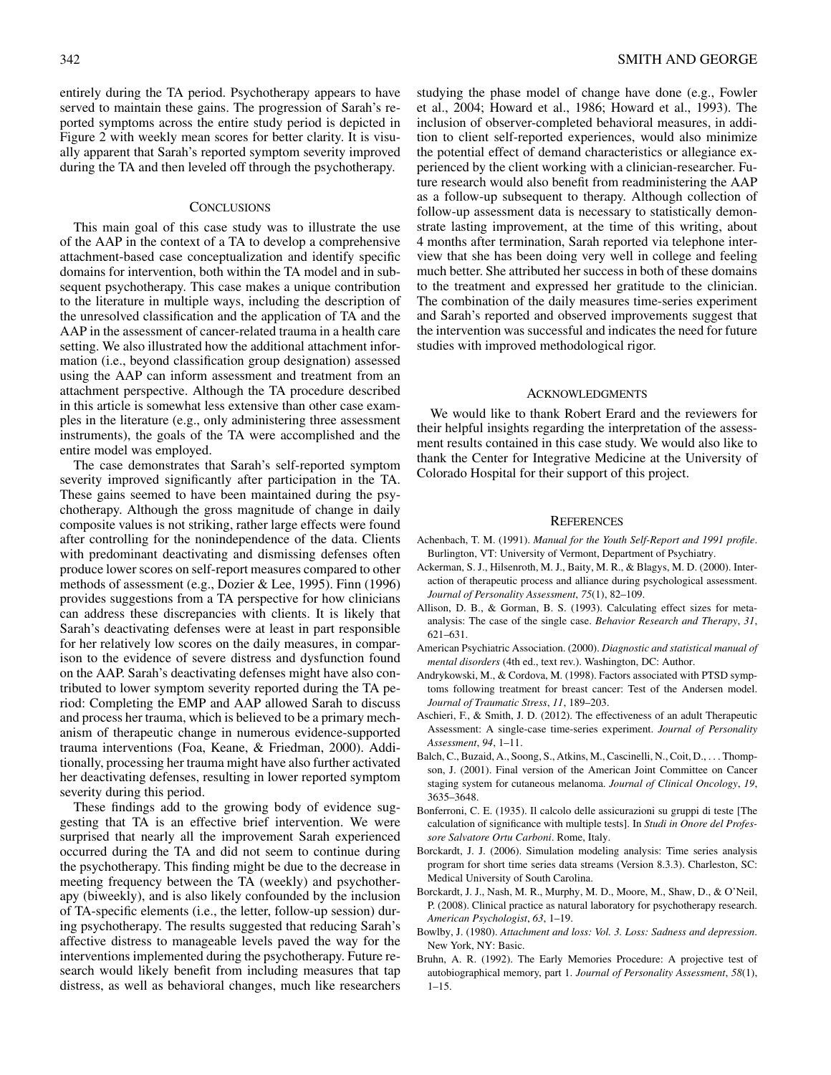entirely during the TA period. Psychotherapy appears to have served to maintain these gains. The progression of Sarah's reported symptoms across the entire study period is depicted in Figure 2 with weekly mean scores for better clarity. It is visually apparent that Sarah's reported symptom severity improved during the TA and then leveled off through the psychotherapy.

#### **CONCLUSIONS**

This main goal of this case study was to illustrate the use of the AAP in the context of a TA to develop a comprehensive attachment-based case conceptualization and identify specific domains for intervention, both within the TA model and in subsequent psychotherapy. This case makes a unique contribution to the literature in multiple ways, including the description of the unresolved classification and the application of TA and the AAP in the assessment of cancer-related trauma in a health care setting. We also illustrated how the additional attachment information (i.e., beyond classification group designation) assessed using the AAP can inform assessment and treatment from an attachment perspective. Although the TA procedure described in this article is somewhat less extensive than other case examples in the literature (e.g., only administering three assessment instruments), the goals of the TA were accomplished and the entire model was employed.

The case demonstrates that Sarah's self-reported symptom severity improved significantly after participation in the TA. These gains seemed to have been maintained during the psychotherapy. Although the gross magnitude of change in daily composite values is not striking, rather large effects were found after controlling for the nonindependence of the data. Clients with predominant deactivating and dismissing defenses often produce lower scores on self-report measures compared to other methods of assessment (e.g., Dozier & Lee, 1995). Finn (1996) provides suggestions from a TA perspective for how clinicians can address these discrepancies with clients. It is likely that Sarah's deactivating defenses were at least in part responsible for her relatively low scores on the daily measures, in comparison to the evidence of severe distress and dysfunction found on the AAP. Sarah's deactivating defenses might have also contributed to lower symptom severity reported during the TA period: Completing the EMP and AAP allowed Sarah to discuss and process her trauma, which is believed to be a primary mechanism of therapeutic change in numerous evidence-supported trauma interventions (Foa, Keane, & Friedman, 2000). Additionally, processing her trauma might have also further activated her deactivating defenses, resulting in lower reported symptom severity during this period.

These findings add to the growing body of evidence suggesting that TA is an effective brief intervention. We were surprised that nearly all the improvement Sarah experienced occurred during the TA and did not seem to continue during the psychotherapy. This finding might be due to the decrease in meeting frequency between the TA (weekly) and psychotherapy (biweekly), and is also likely confounded by the inclusion of TA-specific elements (i.e., the letter, follow-up session) during psychotherapy. The results suggested that reducing Sarah's affective distress to manageable levels paved the way for the interventions implemented during the psychotherapy. Future research would likely benefit from including measures that tap distress, as well as behavioral changes, much like researchers studying the phase model of change have done (e.g., Fowler et al., 2004; Howard et al., 1986; Howard et al., 1993). The inclusion of observer-completed behavioral measures, in addition to client self-reported experiences, would also minimize the potential effect of demand characteristics or allegiance experienced by the client working with a clinician-researcher. Future research would also benefit from readministering the AAP as a follow-up subsequent to therapy. Although collection of follow-up assessment data is necessary to statistically demonstrate lasting improvement, at the time of this writing, about 4 months after termination, Sarah reported via telephone interview that she has been doing very well in college and feeling much better. She attributed her success in both of these domains to the treatment and expressed her gratitude to the clinician. The combination of the daily measures time-series experiment and Sarah's reported and observed improvements suggest that the intervention was successful and indicates the need for future studies with improved methodological rigor.

### ACKNOWLEDGMENTS

We would like to thank Robert Erard and the reviewers for their helpful insights regarding the interpretation of the assessment results contained in this case study. We would also like to thank the Center for Integrative Medicine at the University of Colorado Hospital for their support of this project.

### **REFERENCES**

- Achenbach, T. M. (1991). *Manual for the Youth Self-Report and 1991 profile*. Burlington, VT: University of Vermont, Department of Psychiatry.
- Ackerman, S. J., Hilsenroth, M. J., Baity, M. R., & Blagys, M. D. (2000). Interaction of therapeutic process and alliance during psychological assessment. *Journal of Personality Assessment*, *75*(1), 82–109.
- Allison, D. B., & Gorman, B. S. (1993). Calculating effect sizes for metaanalysis: The case of the single case. *Behavior Research and Therapy*, *31*, 621–631.
- American Psychiatric Association. (2000). *Diagnostic and statistical manual of mental disorders* (4th ed., text rev.). Washington, DC: Author.
- Andrykowski, M., & Cordova, M. (1998). Factors associated with PTSD symptoms following treatment for breast cancer: Test of the Andersen model. *Journal of Traumatic Stress*, *11*, 189–203.
- Aschieri, F., & Smith, J. D. (2012). The effectiveness of an adult Therapeutic Assessment: A single-case time-series experiment. *Journal of Personality Assessment*, *94*, 1–11.
- Balch, C., Buzaid, A., Soong, S., Atkins, M., Cascinelli, N., Coit, D., *...* Thompson, J. (2001). Final version of the American Joint Committee on Cancer staging system for cutaneous melanoma. *Journal of Clinical Oncology*, *19*, 3635–3648.
- Bonferroni, C. E. (1935). Il calcolo delle assicurazioni su gruppi di teste [The calculation of significance with multiple tests]. In *Studi in Onore del Professore Salvatore Ortu Carboni*. Rome, Italy.
- Borckardt, J. J. (2006). Simulation modeling analysis: Time series analysis program for short time series data streams (Version 8.3.3). Charleston, SC: Medical University of South Carolina.
- Borckardt, J. J., Nash, M. R., Murphy, M. D., Moore, M., Shaw, D., & O'Neil, P. (2008). Clinical practice as natural laboratory for psychotherapy research. *American Psychologist*, *63*, 1–19.
- Bowlby, J. (1980). *Attachment and loss: Vol. 3. Loss: Sadness and depression*. New York, NY: Basic.
- Bruhn, A. R. (1992). The Early Memories Procedure: A projective test of autobiographical memory, part 1. *Journal of Personality Assessment*, *58*(1),  $1 - 15$ .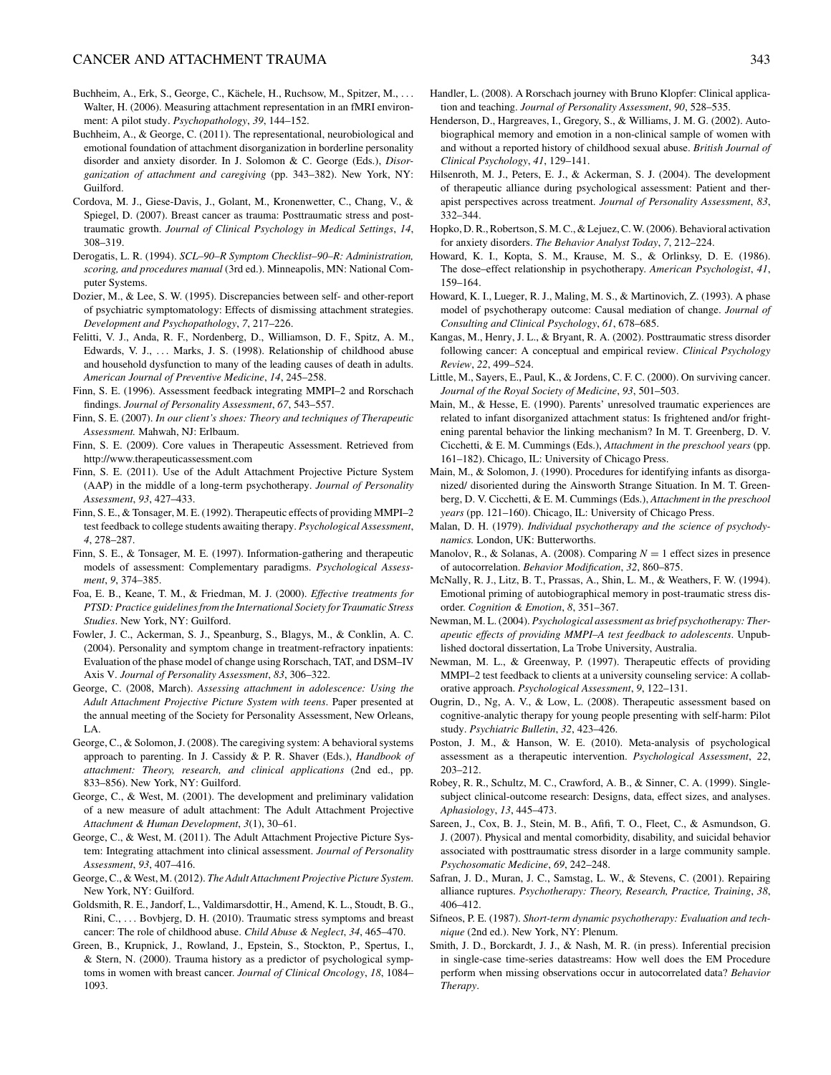## CANCER AND ATTACHMENT TRAUMA 343

- Buchheim, A., Erk, S., George, C., Kächele, H., Ruchsow, M., Spitzer, M., ... Walter, H. (2006). Measuring attachment representation in an fMRI environment: A pilot study. *Psychopathology*, *39*, 144–152.
- Buchheim, A., & George, C. (2011). The representational, neurobiological and emotional foundation of attachment disorganization in borderline personality disorder and anxiety disorder. In J. Solomon & C. George (Eds.), *Disorganization of attachment and caregiving* (pp. 343–382). New York, NY: Guilford.
- Cordova, M. J., Giese-Davis, J., Golant, M., Kronenwetter, C., Chang, V., & Spiegel, D. (2007). Breast cancer as trauma: Posttraumatic stress and posttraumatic growth. *Journal of Clinical Psychology in Medical Settings*, *14*, 308–319.
- Derogatis, L. R. (1994). *SCL–90–R Symptom Checklist–90–R: Administration, scoring, and procedures manual* (3rd ed.). Minneapolis, MN: National Computer Systems.
- Dozier, M., & Lee, S. W. (1995). Discrepancies between self- and other-report of psychiatric symptomatology: Effects of dismissing attachment strategies. *Development and Psychopathology*, *7*, 217–226.
- Felitti, V. J., Anda, R. F., Nordenberg, D., Williamson, D. F., Spitz, A. M., Edwards, V. J., *...* Marks, J. S. (1998). Relationship of childhood abuse and household dysfunction to many of the leading causes of death in adults. *American Journal of Preventive Medicine*, *14*, 245–258.
- Finn, S. E. (1996). Assessment feedback integrating MMPI–2 and Rorschach findings. *Journal of Personality Assessment*, *67*, 543–557.
- Finn, S. E. (2007). *In our client's shoes: Theory and techniques of Therapeutic Assessment.* Mahwah, NJ: Erlbaum.
- Finn, S. E. (2009). Core values in Therapeutic Assessment. Retrieved from http://www.therapeuticassessment.com
- Finn, S. E. (2011). Use of the Adult Attachment Projective Picture System (AAP) in the middle of a long-term psychotherapy. *Journal of Personality Assessment*, *93*, 427–433.
- Finn, S. E., & Tonsager, M. E. (1992). Therapeutic effects of providing MMPI–2 test feedback to college students awaiting therapy. *Psychological Assessment*, *4*, 278–287.
- Finn, S. E., & Tonsager, M. E. (1997). Information-gathering and therapeutic models of assessment: Complementary paradigms. *Psychological Assessment*, *9*, 374–385.
- Foa, E. B., Keane, T. M., & Friedman, M. J. (2000). *Effective treatments for PTSD: Practice guidelines from the International Society for Traumatic Stress Studies*. New York, NY: Guilford.
- Fowler, J. C., Ackerman, S. J., Speanburg, S., Blagys, M., & Conklin, A. C. (2004). Personality and symptom change in treatment-refractory inpatients: Evaluation of the phase model of change using Rorschach, TAT, and DSM–IV Axis V. *Journal of Personality Assessment*, *83*, 306–322.
- George, C. (2008, March). *Assessing attachment in adolescence: Using the Adult Attachment Projective Picture System with teens*. Paper presented at the annual meeting of the Society for Personality Assessment, New Orleans, LA.
- George, C., & Solomon, J. (2008). The caregiving system: A behavioral systems approach to parenting. In J. Cassidy & P. R. Shaver (Eds.), *Handbook of attachment: Theory, research, and clinical applications* (2nd ed., pp. 833–856). New York, NY: Guilford.
- George, C., & West, M. (2001). The development and preliminary validation of a new measure of adult attachment: The Adult Attachment Projective *Attachment & Human Development*, *3*(1), 30–61.
- George, C., & West, M. (2011). The Adult Attachment Projective Picture System: Integrating attachment into clinical assessment. *Journal of Personality Assessment*, *93*, 407–416.
- George, C., & West, M. (2012). *The Adult Attachment Projective Picture System*. New York, NY: Guilford.
- Goldsmith, R. E., Jandorf, L., Valdimarsdottir, H., Amend, K. L., Stoudt, B. G., Rini, C., *...* Bovbjerg, D. H. (2010). Traumatic stress symptoms and breast cancer: The role of childhood abuse. *Child Abuse & Neglect*, *34*, 465–470.
- Green, B., Krupnick, J., Rowland, J., Epstein, S., Stockton, P., Spertus, I., & Stern, N. (2000). Trauma history as a predictor of psychological symptoms in women with breast cancer. *Journal of Clinical Oncology*, *18*, 1084– 1093.
- Handler, L. (2008). A Rorschach journey with Bruno Klopfer: Clinical application and teaching. *Journal of Personality Assessment*, *90*, 528–535.
- Henderson, D., Hargreaves, I., Gregory, S., & Williams, J. M. G. (2002). Autobiographical memory and emotion in a non-clinical sample of women with and without a reported history of childhood sexual abuse. *British Journal of Clinical Psychology*, *41*, 129–141.
- Hilsenroth, M. J., Peters, E. J., & Ackerman, S. J. (2004). The development of therapeutic alliance during psychological assessment: Patient and therapist perspectives across treatment. *Journal of Personality Assessment*, *83*, 332–344.
- Hopko, D. R., Robertson, S. M. C., & Lejuez, C.W. (2006). Behavioral activation for anxiety disorders. *The Behavior Analyst Today*, *7*, 212–224.
- Howard, K. I., Kopta, S. M., Krause, M. S., & Orlinksy, D. E. (1986). The dose–effect relationship in psychotherapy. *American Psychologist*, *41*, 159–164.
- Howard, K. I., Lueger, R. J., Maling, M. S., & Martinovich, Z. (1993). A phase model of psychotherapy outcome: Causal mediation of change. *Journal of Consulting and Clinical Psychology*, *61*, 678–685.
- Kangas, M., Henry, J. L., & Bryant, R. A. (2002). Posttraumatic stress disorder following cancer: A conceptual and empirical review. *Clinical Psychology Review*, *22*, 499–524.
- Little, M., Sayers, E., Paul, K., & Jordens, C. F. C. (2000). On surviving cancer. *Journal of the Royal Society of Medicine*, *93*, 501–503.
- Main, M., & Hesse, E. (1990). Parents' unresolved traumatic experiences are related to infant disorganized attachment status: Is frightened and/or frightening parental behavior the linking mechanism? In M. T. Greenberg, D. V. Cicchetti, & E. M. Cummings (Eds.), *Attachment in the preschool years* (pp. 161–182). Chicago, IL: University of Chicago Press.
- Main, M., & Solomon, J. (1990). Procedures for identifying infants as disorganized/ disoriented during the Ainsworth Strange Situation. In M. T. Greenberg, D. V. Cicchetti, & E. M. Cummings (Eds.), *Attachment in the preschool years* (pp. 121–160). Chicago, IL: University of Chicago Press.
- Malan, D. H. (1979). *Individual psychotherapy and the science of psychodynamics.* London, UK: Butterworths.
- Manolov, R., & Solanas, A. (2008). Comparing  $N = 1$  effect sizes in presence of autocorrelation. *Behavior Modification*, *32*, 860–875.
- McNally, R. J., Litz, B. T., Prassas, A., Shin, L. M., & Weathers, F. W. (1994). Emotional priming of autobiographical memory in post-traumatic stress disorder. *Cognition & Emotion*, *8*, 351–367.
- Newman, M. L. (2004). *Psychological assessment as brief psychotherapy: Therapeutic effects of providing MMPI–A test feedback to adolescents*. Unpublished doctoral dissertation, La Trobe University, Australia.
- Newman, M. L., & Greenway, P. (1997). Therapeutic effects of providing MMPI–2 test feedback to clients at a university counseling service: A collaborative approach. *Psychological Assessment*, *9*, 122–131.
- Ougrin, D., Ng, A. V., & Low, L. (2008). Therapeutic assessment based on cognitive-analytic therapy for young people presenting with self-harm: Pilot study. *Psychiatric Bulletin*, *32*, 423–426.
- Poston, J. M., & Hanson, W. E. (2010). Meta-analysis of psychological assessment as a therapeutic intervention. *Psychological Assessment*, *22*, 203–212.
- Robey, R. R., Schultz, M. C., Crawford, A. B., & Sinner, C. A. (1999). Singlesubject clinical-outcome research: Designs, data, effect sizes, and analyses. *Aphasiology*, *13*, 445–473.
- Sareen, J., Cox, B. J., Stein, M. B., Afifi, T. O., Fleet, C., & Asmundson, G. J. (2007). Physical and mental comorbidity, disability, and suicidal behavior associated with posttraumatic stress disorder in a large community sample. *Psychosomatic Medicine*, *69*, 242–248.
- Safran, J. D., Muran, J. C., Samstag, L. W., & Stevens, C. (2001). Repairing alliance ruptures. *Psychotherapy: Theory, Research, Practice, Training*, *38*, 406–412.
- Sifneos, P. E. (1987). *Short-term dynamic psychotherapy: Evaluation and technique* (2nd ed.). New York, NY: Plenum.
- Smith, J. D., Borckardt, J. J., & Nash, M. R. (in press). Inferential precision in single-case time-series datastreams: How well does the EM Procedure perform when missing observations occur in autocorrelated data? *Behavior Therapy*.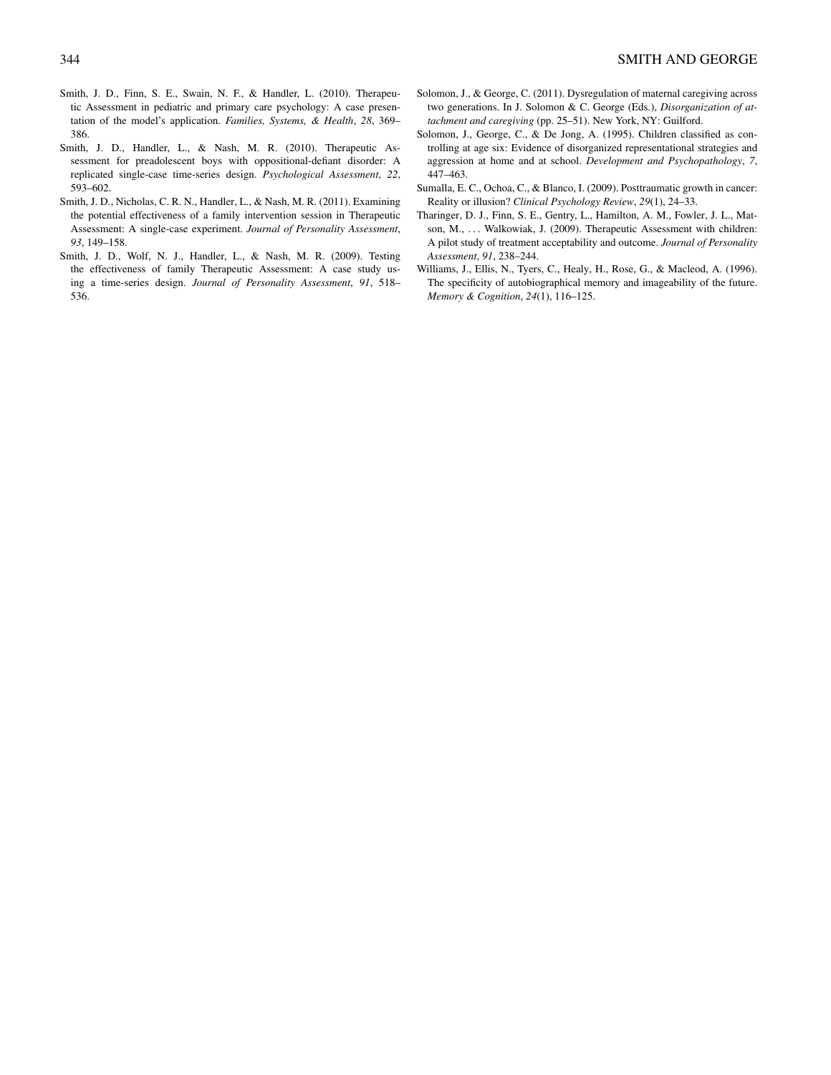- Smith, J. D., Finn, S. E., Swain, N. F., & Handler, L. (2010). Therapeutic Assessment in pediatric and primary care psychology: A case presentation of the model's application. *Families, Systems, & Health*, *28*, 369– 386.
- Smith, J. D., Handler, L., & Nash, M. R. (2010). Therapeutic Assessment for preadolescent boys with oppositional-defiant disorder: A replicated single-case time-series design. *Psychological Assessment*, *22*, 593–602.
- Smith, J. D., Nicholas, C. R. N., Handler, L., & Nash, M. R. (2011). Examining the potential effectiveness of a family intervention session in Therapeutic Assessment: A single-case experiment. *Journal of Personality Assessment*, *93*, 149–158.
- Smith, J. D., Wolf, N. J., Handler, L., & Nash, M. R. (2009). Testing the effectiveness of family Therapeutic Assessment: A case study using a time-series design. *Journal of Personality Assessment*, *91*, 518– 536.
- Solomon, J., & George, C. (2011). Dysregulation of maternal caregiving across two generations. In J. Solomon & C. George (Eds.), *Disorganization of attachment and caregiving* (pp. 25–51). New York, NY: Guilford.
- Solomon, J., George, C., & De Jong, A. (1995). Children classified as controlling at age six: Evidence of disorganized representational strategies and aggression at home and at school. *Development and Psychopathology*, *7*, 447–463.
- Sumalla, E. C., Ochoa, C., & Blanco, I. (2009). Posttraumatic growth in cancer: Reality or illusion? *Clinical Psychology Review*, *29*(1), 24–33.
- Tharinger, D. J., Finn, S. E., Gentry, L., Hamilton, A. M., Fowler, J. L., Matson, M., *...* Walkowiak, J. (2009). Therapeutic Assessment with children: A pilot study of treatment acceptability and outcome. *Journal of Personality Assessment*, *91*, 238–244.
- Williams, J., Ellis, N., Tyers, C., Healy, H., Rose, G., & Macleod, A. (1996). The specificity of autobiographical memory and imageability of the future. *Memory & Cognition*, *24*(1), 116–125.